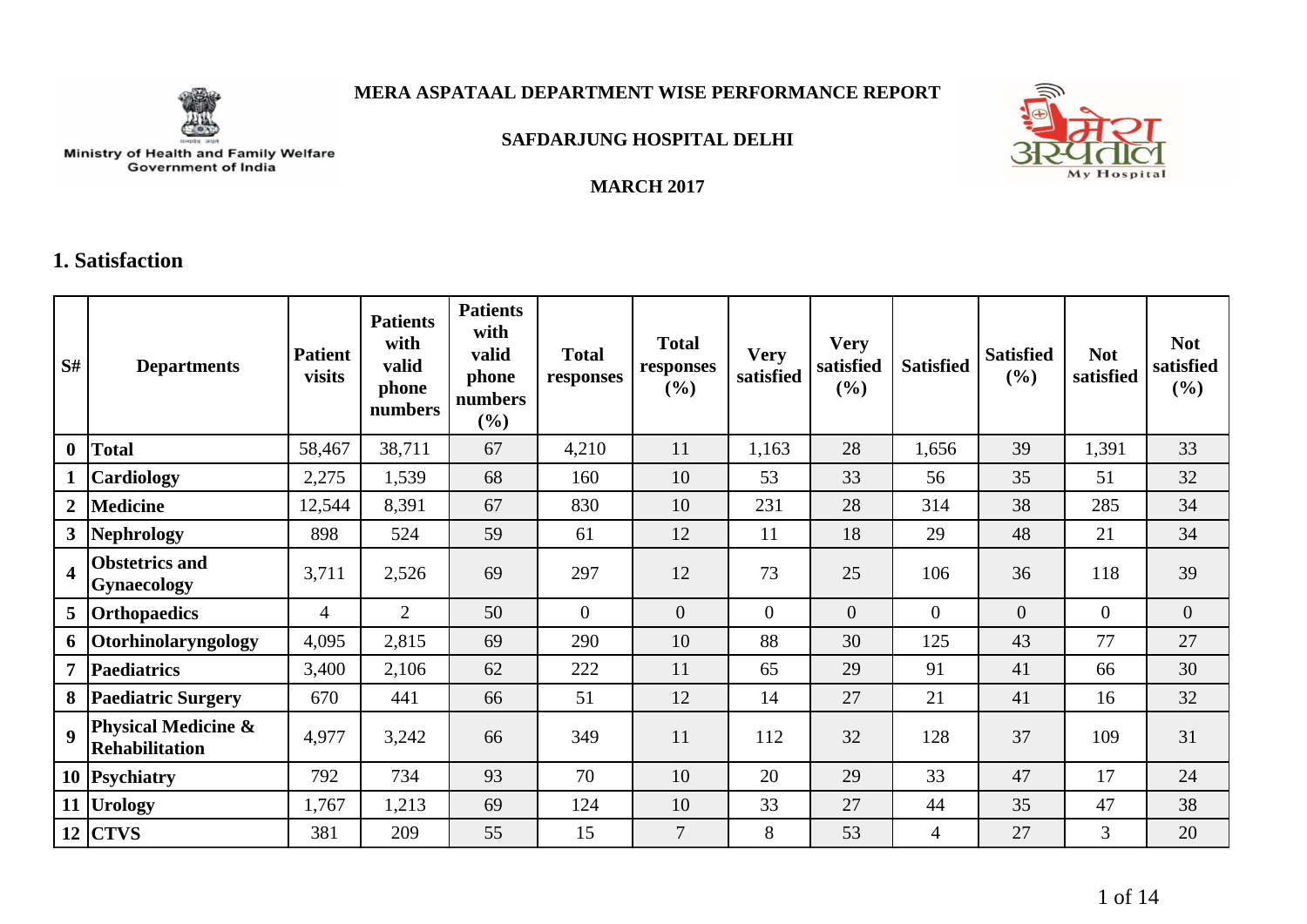

**MARCH 2017**



**SAFDARJUNG HOSPITAL DELHI**

# Ministry of Health and Family Welfare<br>Government of India

#### **1. Satisfaction**

| S#                      | <b>Departments</b>                                      | <b>Patient</b><br>visits | <b>Patients</b><br>with<br>valid<br>phone<br>numbers | <b>Patients</b><br>with<br>valid<br>phone<br>numbers<br>(9/0) | <b>Total</b><br>responses | <b>Total</b><br>responses<br>$(\%)$ | <b>Very</b><br>satisfied | <b>Very</b><br>satisfied<br>(%) | <b>Satisfied</b> | <b>Satisfied</b><br>(%) | <b>Not</b><br>satisfied | <b>Not</b><br>satisfied<br>(%) |
|-------------------------|---------------------------------------------------------|--------------------------|------------------------------------------------------|---------------------------------------------------------------|---------------------------|-------------------------------------|--------------------------|---------------------------------|------------------|-------------------------|-------------------------|--------------------------------|
| $\boldsymbol{0}$        | <b>Total</b>                                            | 58,467                   | 38,711                                               | 67                                                            | 4,210                     | 11                                  | 1,163                    | 28                              | 1,656            | 39                      | 1,391                   | 33                             |
|                         | Cardiology                                              | 2,275                    | 1,539                                                | 68                                                            | 160                       | 10                                  | 53                       | 33                              | 56               | 35                      | 51                      | 32                             |
| $\overline{2}$          | <b>Medicine</b>                                         | 12,544                   | 8,391                                                | 67                                                            | 830                       | 10                                  | 231                      | 28                              | 314              | 38                      | 285                     | 34                             |
| $\mathbf{3}$            | Nephrology                                              | 898                      | 524                                                  | 59                                                            | 61                        | 12                                  | 11                       | 18                              | 29               | 48                      | 21                      | 34                             |
| $\overline{\mathbf{4}}$ | <b>Obstetrics and</b><br><b>Gynaecology</b>             | 3,711                    | 2,526                                                | 69                                                            | 297                       | 12                                  | 73                       | 25                              | 106              | 36                      | 118                     | 39                             |
| 5 <sup>5</sup>          | <b>Orthopaedics</b>                                     | $\overline{4}$           | 2                                                    | 50                                                            | $\overline{0}$            | $\overline{0}$                      | $\overline{0}$           | $\overline{0}$                  | $\overline{0}$   | $\overline{0}$          | $\overline{0}$          | $\overline{0}$                 |
| 6                       | Otorhinolaryngology                                     | 4,095                    | 2,815                                                | 69                                                            | 290                       | 10                                  | 88                       | 30                              | 125              | 43                      | 77                      | 27                             |
| $\overline{7}$          | Paediatrics                                             | 3,400                    | 2,106                                                | 62                                                            | 222                       | 11                                  | 65                       | 29                              | 91               | 41                      | 66                      | 30                             |
| 8                       | <b>Paediatric Surgery</b>                               | 670                      | 441                                                  | 66                                                            | 51                        | 12                                  | 14                       | 27                              | 21               | 41                      | 16                      | 32                             |
| $\boldsymbol{9}$        | <b>Physical Medicine &amp;</b><br><b>Rehabilitation</b> | 4,977                    | 3,242                                                | 66                                                            | 349                       | 11                                  | 112                      | 32                              | 128              | 37                      | 109                     | 31                             |
|                         | 10 Psychiatry                                           | 792                      | 734                                                  | 93                                                            | 70                        | 10                                  | 20                       | 29                              | 33               | 47                      | 17                      | 24                             |
|                         | 11 Urology                                              | 1,767                    | 1,213                                                | 69                                                            | 124                       | 10                                  | 33                       | 27                              | 44               | 35                      | 47                      | 38                             |
|                         | $12$ CTVS                                               | 381                      | 209                                                  | 55                                                            | 15                        | $\overline{7}$                      | 8                        | 53                              | $\overline{4}$   | 27                      | $\overline{3}$          | 20                             |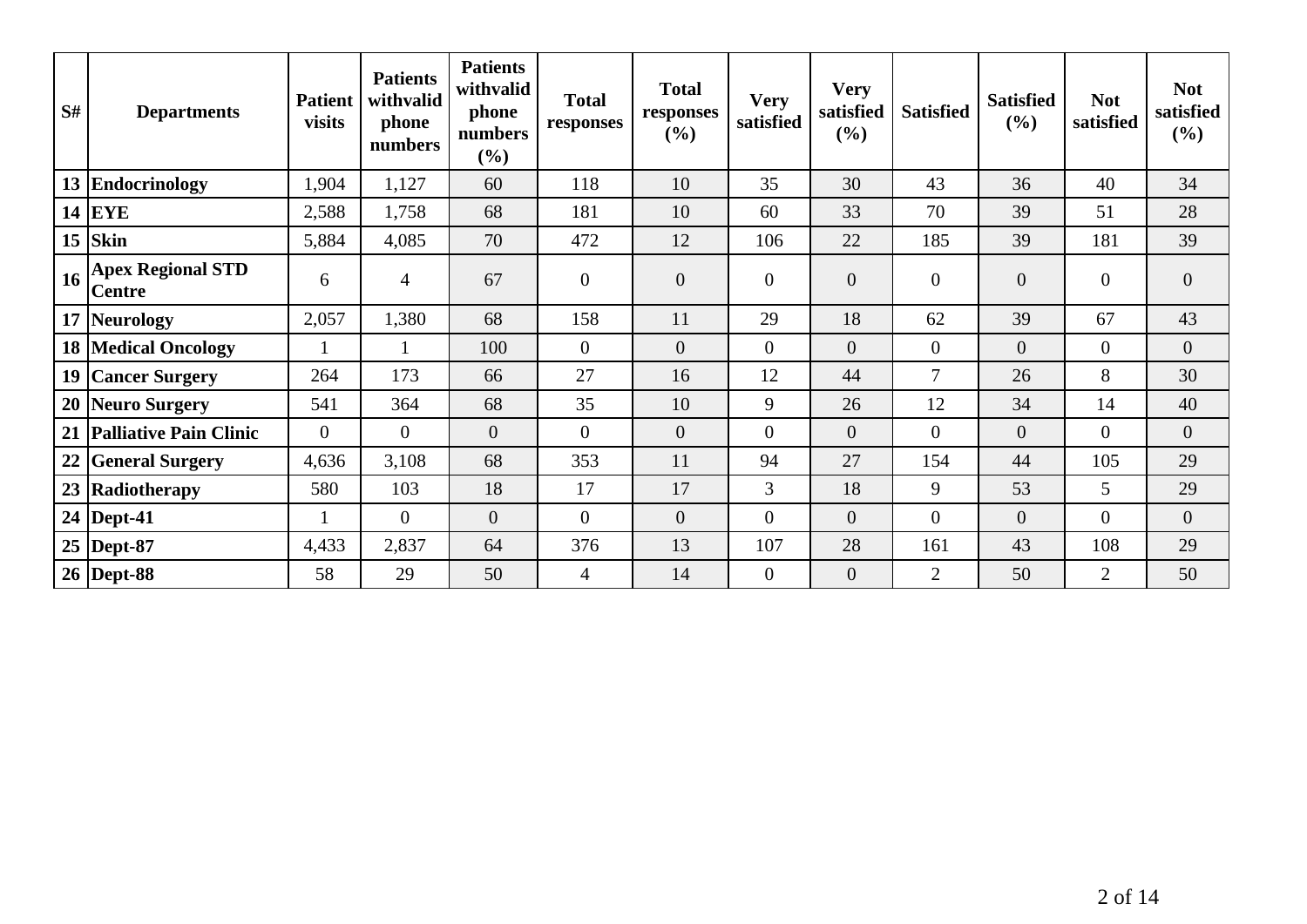| S# | <b>Departments</b>                        | <b>Patient</b><br>visits | <b>Patients</b><br>withvalid<br>phone<br>numbers | <b>Patients</b><br>withvalid<br>phone<br>numbers<br>(%) | <b>Total</b><br>responses | <b>Total</b><br>responses<br>(%) | <b>Very</b><br>satisfied | <b>Very</b><br>satisfied<br>$(\%)$ | <b>Satisfied</b> | <b>Satisfied</b><br>(%) | <b>Not</b><br>satisfied | <b>Not</b><br>satisfied<br>$(\%)$ |
|----|-------------------------------------------|--------------------------|--------------------------------------------------|---------------------------------------------------------|---------------------------|----------------------------------|--------------------------|------------------------------------|------------------|-------------------------|-------------------------|-----------------------------------|
|    | 13 Endocrinology                          | 1,904                    | 1,127                                            | 60                                                      | 118                       | 10                               | 35                       | 30                                 | 43               | 36                      | 40                      | 34                                |
|    | <b>14 EYE</b>                             | 2,588                    | 1,758                                            | 68                                                      | 181                       | 10                               | 60                       | 33                                 | 70               | 39                      | 51                      | 28                                |
|    | $15$ Skin                                 | 5,884                    | 4,085                                            | 70                                                      | 472                       | 12                               | 106                      | 22                                 | 185              | 39                      | 181                     | 39                                |
| 16 | <b>Apex Regional STD</b><br><b>Centre</b> | 6                        | $\overline{4}$                                   | 67                                                      | $\boldsymbol{0}$          | $\mathbf{0}$                     | $\overline{0}$           | $\overline{0}$                     | $\overline{0}$   | $\boldsymbol{0}$        | $\overline{0}$          | $\boldsymbol{0}$                  |
|    | 17 Neurology                              | 2,057                    | 1,380                                            | 68                                                      | 158                       | 11                               | 29                       | 18                                 | 62               | 39                      | 67                      | 43                                |
|    | <b>18 Medical Oncology</b>                |                          |                                                  | 100                                                     | $\boldsymbol{0}$          | $\overline{0}$                   | $\overline{0}$           | $\overline{0}$                     | $\overline{0}$   | $\overline{0}$          | $\overline{0}$          | $\boldsymbol{0}$                  |
|    | 19 Cancer Surgery                         | 264                      | 173                                              | 66                                                      | 27                        | 16                               | 12                       | 44                                 | $\overline{7}$   | 26                      | 8                       | 30                                |
|    | 20 Neuro Surgery                          | 541                      | 364                                              | 68                                                      | 35                        | 10                               | 9                        | 26                                 | 12               | 34                      | 14                      | 40                                |
|    | 21 Palliative Pain Clinic                 | $\overline{0}$           | $\overline{0}$                                   | $\overline{0}$                                          | $\overline{0}$            | $\overline{0}$                   | $\overline{0}$           | $\overline{0}$                     | $\theta$         | $\overline{0}$          | $\overline{0}$          | $\overline{0}$                    |
|    | 22 General Surgery                        | 4,636                    | 3,108                                            | 68                                                      | 353                       | 11                               | 94                       | 27                                 | 154              | 44                      | 105                     | 29                                |
|    | 23 Radiotherapy                           | 580                      | 103                                              | 18                                                      | 17                        | 17                               | $\overline{3}$           | 18                                 | 9                | 53                      | 5                       | 29                                |
|    | 24   Dept-41                              |                          | $\overline{0}$                                   | $\overline{0}$                                          | $\overline{0}$            | $\overline{0}$                   | $\overline{0}$           | $\overline{0}$                     | $\overline{0}$   | $\overline{0}$          | $\Omega$                | $\overline{0}$                    |
|    | 25   Dept-87                              | 4,433                    | 2,837                                            | 64                                                      | 376                       | 13                               | 107                      | 28                                 | 161              | 43                      | 108                     | 29                                |
|    | $26$ Dept-88                              | 58                       | 29                                               | 50                                                      | $\overline{4}$            | 14                               | $\boldsymbol{0}$         | $\boldsymbol{0}$                   | $\overline{2}$   | 50                      | $\overline{2}$          | 50                                |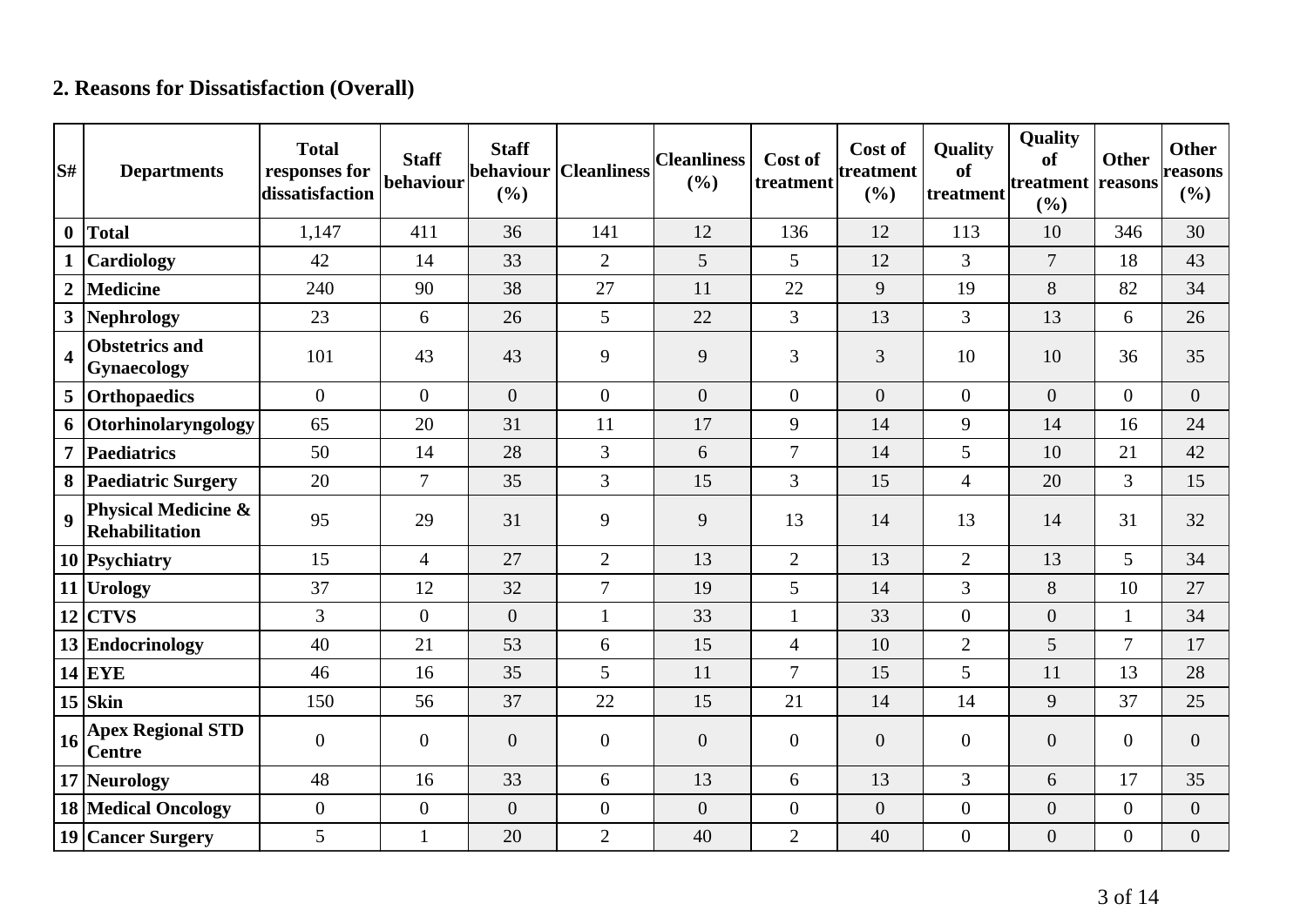# **2. Reasons for Dissatisfaction (Overall)**

| S#             | <b>Departments</b>                           | <b>Total</b><br>responses for<br>dissatisfaction | <b>Staff</b><br>behaviour | <b>Staff</b><br>behaviour<br>(%) | <b>Cleanliness</b> | <b>Cleanliness</b><br>(%) | Cost of<br>treatment | Cost of<br>treatment<br>(%) | <b>Quality</b><br>of<br>treatment | Quality<br>of<br>treatment reasons<br>(%) | <b>Other</b>     | <b>Other</b><br>reasons<br>(%) |
|----------------|----------------------------------------------|--------------------------------------------------|---------------------------|----------------------------------|--------------------|---------------------------|----------------------|-----------------------------|-----------------------------------|-------------------------------------------|------------------|--------------------------------|
| $\mathbf{0}$   | <b>Total</b>                                 | 1,147                                            | 411                       | 36                               | 141                | 12                        | 136                  | 12                          | 113                               | 10                                        | 346              | 30                             |
|                | <b>Cardiology</b>                            | 42                                               | 14                        | 33                               | $\overline{2}$     | 5                         | 5                    | 12                          | $\overline{3}$                    | $\overline{7}$                            | 18               | 43                             |
| $\overline{2}$ | <b>Medicine</b>                              | 240                                              | 90                        | 38                               | 27                 | 11                        | 22                   | 9                           | 19                                | 8                                         | 82               | 34                             |
| $\mathbf{3}$   | Nephrology                                   | 23                                               | 6                         | 26                               | 5                  | 22                        | 3                    | 13                          | $\overline{3}$                    | 13                                        | 6                | 26                             |
| 4              | <b>Obstetrics and</b><br>Gynaecology         | 101                                              | 43                        | 43                               | 9                  | 9                         | 3                    | 3                           | 10                                | 10                                        | 36               | 35                             |
| 5 <sup>5</sup> | Orthopaedics                                 | $\overline{0}$                                   | $\overline{0}$            | $\overline{0}$                   | $\overline{0}$     | $\overline{0}$            | $\overline{0}$       | $\overline{0}$              | $\overline{0}$                    | $\overline{0}$                            | $\overline{0}$   | $\overline{0}$                 |
| 6              | Otorhinolaryngology                          | 65                                               | 20                        | 31                               | 11                 | 17                        | 9                    | 14                          | 9                                 | 14                                        | 16               | 24                             |
| $\overline{7}$ | Paediatrics                                  | 50                                               | 14                        | 28                               | 3                  | 6                         | $\overline{7}$       | 14                          | 5                                 | 10                                        | 21               | 42                             |
|                | 8 Paediatric Surgery                         | 20                                               | $\overline{7}$            | 35                               | $\overline{3}$     | 15                        | $\overline{3}$       | 15                          | $\overline{4}$                    | 20                                        | 3                | 15                             |
| 9              | Physical Medicine &<br><b>Rehabilitation</b> | 95                                               | 29                        | 31                               | 9                  | 9                         | 13                   | 14                          | 13                                | 14                                        | 31               | 32                             |
|                | 10 Psychiatry                                | 15                                               | $\overline{4}$            | 27                               | 2                  | 13                        | $\overline{2}$       | 13                          | $\overline{2}$                    | 13                                        | 5                | 34                             |
|                | 11 Urology                                   | 37                                               | 12                        | 32                               | $\overline{7}$     | 19                        | 5                    | 14                          | $\overline{3}$                    | 8                                         | 10               | 27                             |
| 12             | <b>CTVS</b>                                  | $\overline{3}$                                   | $\theta$                  | $\overline{0}$                   | $\mathbf{1}$       | 33                        | $\mathbf{1}$         | 33                          | $\overline{0}$                    | $\overline{0}$                            | $\mathbf{1}$     | 34                             |
|                | 13 Endocrinology                             | 40                                               | 21                        | 53                               | 6                  | 15                        | $\overline{4}$       | 10                          | $\overline{2}$                    | 5                                         | $\overline{7}$   | 17                             |
|                | $14$ EYE                                     | 46                                               | 16                        | 35                               | 5                  | 11                        | $\overline{7}$       | 15                          | 5                                 | 11                                        | 13               | 28                             |
|                | $15$ Skin                                    | 150                                              | 56                        | 37                               | 22                 | 15                        | 21                   | 14                          | 14                                | 9                                         | 37               | 25                             |
| 16             | <b>Apex Regional STD</b><br><b>Centre</b>    | $\overline{0}$                                   | $\mathbf{0}$              | $\boldsymbol{0}$                 | $\overline{0}$     | $\boldsymbol{0}$          | $\overline{0}$       | $\boldsymbol{0}$            | $\overline{0}$                    | $\overline{0}$                            | $\boldsymbol{0}$ | $\overline{0}$                 |
|                | 17 Neurology                                 | 48                                               | 16                        | 33                               | 6                  | 13                        | 6                    | 13                          | 3                                 | 6                                         | 17               | 35                             |
|                | <b>18 Medical Oncology</b>                   | $\overline{0}$                                   | $\boldsymbol{0}$          | $\boldsymbol{0}$                 | $\overline{0}$     | $\boldsymbol{0}$          | $\overline{0}$       | $\boldsymbol{0}$            | $\overline{0}$                    | $\overline{0}$                            | $\boldsymbol{0}$ | $\boldsymbol{0}$               |
|                | 19 Cancer Surgery                            | 5                                                | $\mathbf{1}$              | 20                               | $\overline{2}$     | 40                        | $\overline{2}$       | 40                          | $\boldsymbol{0}$                  | $\overline{0}$                            | $\boldsymbol{0}$ | $\boldsymbol{0}$               |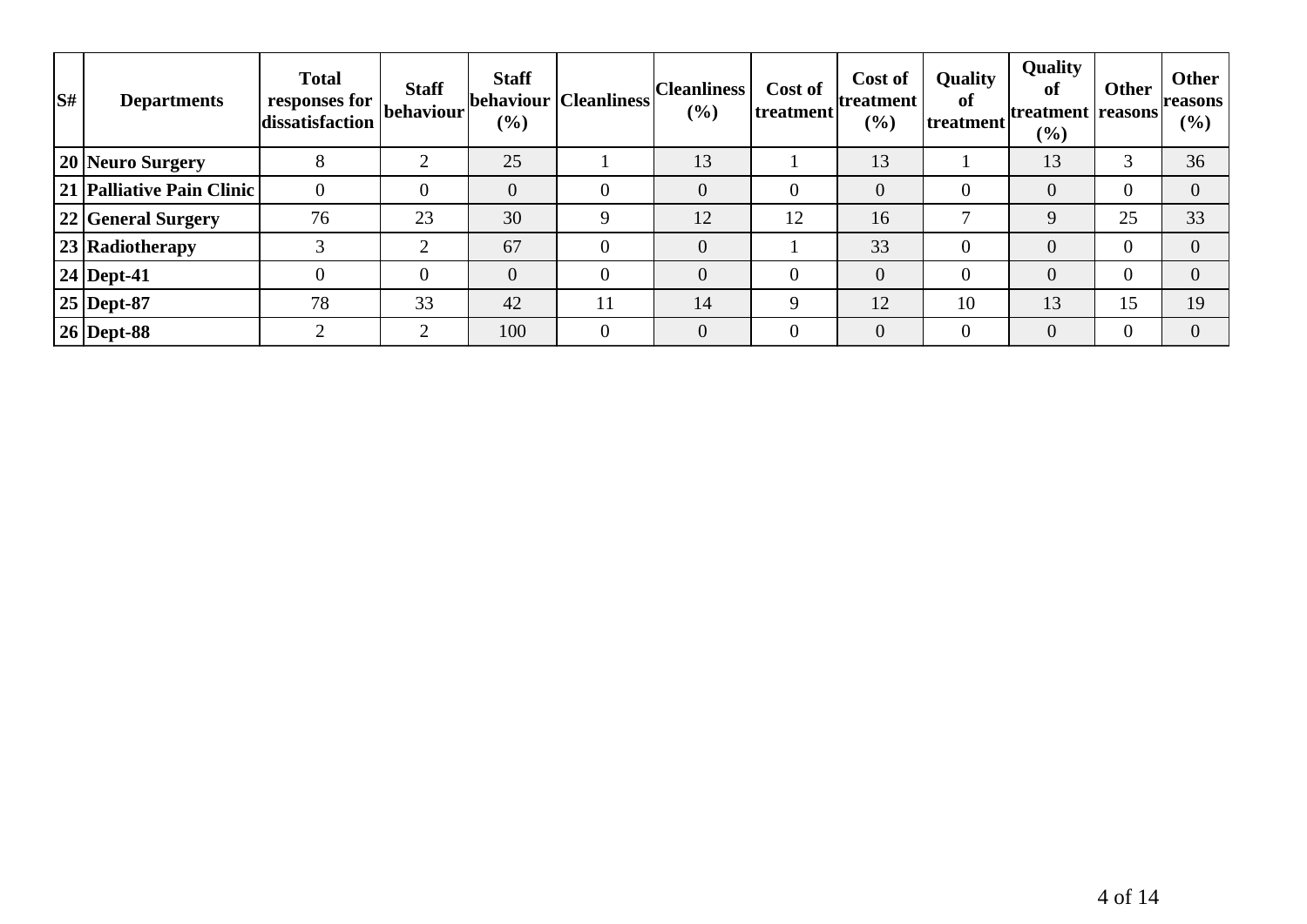| $\overline{\mathbf{S}^{\#}}$ | <b>Departments</b>        | <b>Total</b><br>responses for<br>dissatisfaction | <b>Staff</b><br>behaviour | <b>Staff</b><br>(%) | behaviour   Cleanliness | <b>Cleanliness</b><br>(%) | Cost of<br> treatment | Cost of<br>treatment<br>(%) | Quality<br>of<br>treatment | <b>Quality</b><br>of<br>treatment reasons<br>$\left( \frac{0}{0} \right)$ | Other          | <b>Other</b><br>(%) |
|------------------------------|---------------------------|--------------------------------------------------|---------------------------|---------------------|-------------------------|---------------------------|-----------------------|-----------------------------|----------------------------|---------------------------------------------------------------------------|----------------|---------------------|
|                              | 20 Neuro Surgery          |                                                  | ◠                         | 25                  |                         | 13                        |                       | 13                          |                            | 13                                                                        | 3              | 36                  |
|                              | 21 Palliative Pain Clinic |                                                  |                           | $\overline{0}$      |                         | $\overline{0}$            |                       | $\overline{0}$              | $\overline{0}$             | $\overline{0}$                                                            | $\overline{0}$ | $\overline{0}$      |
|                              | 22 General Surgery        | 76                                               | 23                        | 30                  |                         | 12                        | 12                    | 16                          | 7                          | $\mathbf Q$                                                               | 25             | 33                  |
|                              | 23 Radiotherapy           |                                                  | ◠                         | 67                  |                         | $\overline{0}$            |                       | 33                          | 0                          | $\overline{0}$                                                            | $\Omega$       | $\Omega$            |
|                              | 24   Dept-41              |                                                  |                           | $\overline{0}$      |                         | $\overline{0}$            |                       | $\overline{0}$              | $\overline{0}$             | $\overline{0}$                                                            | $\overline{0}$ | $\Omega$            |
|                              | 25   Dept-87              | 78                                               | 33                        | 42                  | 11                      | 14                        | Q                     | 12                          | 10                         | 13                                                                        | 15             | 19                  |
|                              | <b>26 Dept-88</b>         |                                                  | ◠                         | 100                 |                         | $\overline{0}$            |                       | $\overline{0}$              | $\overline{0}$             | $\overline{0}$                                                            | $\overline{0}$ | $\Omega$            |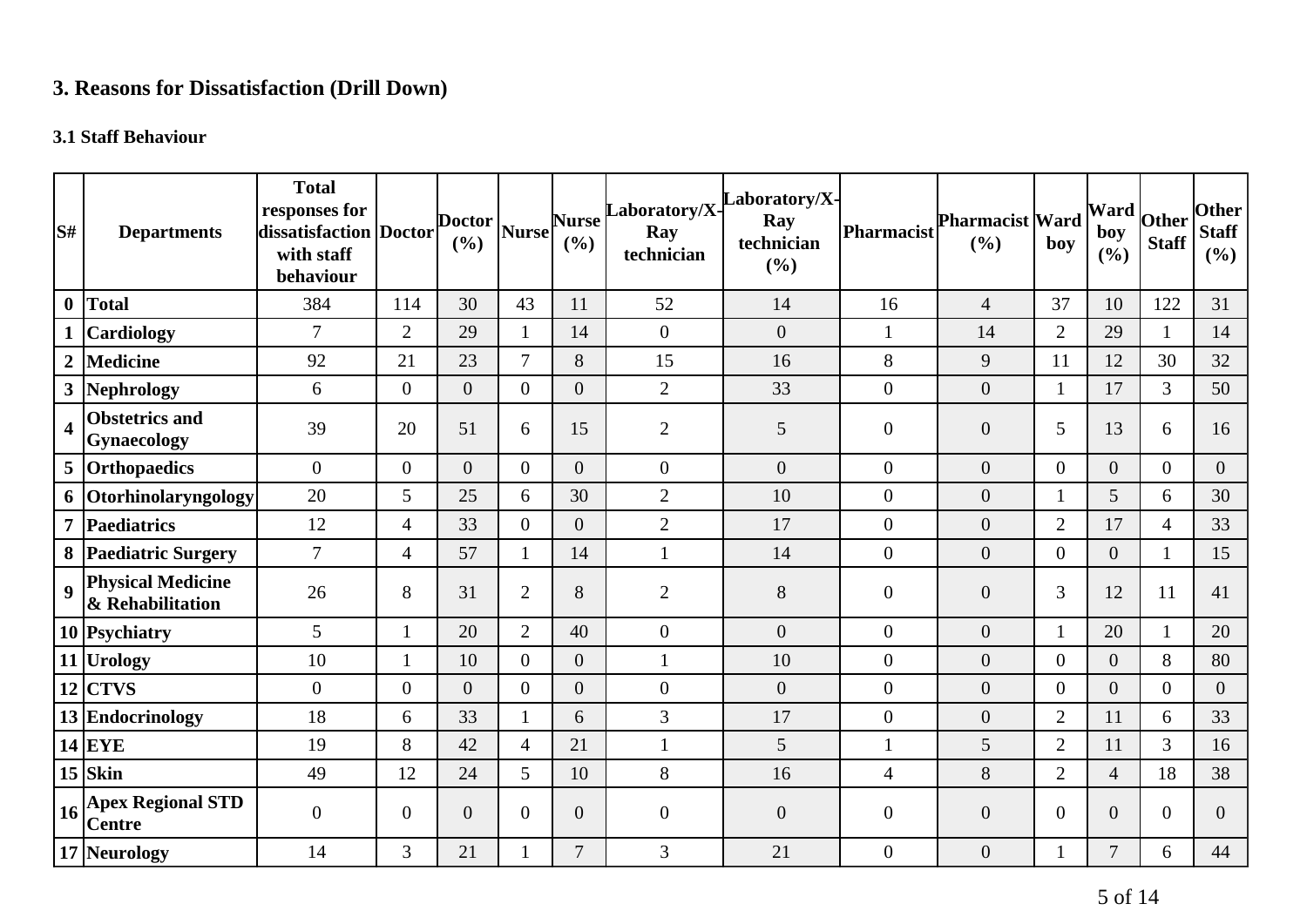# **3. Reasons for Dissatisfaction (Drill Down)**

### **3.1 Staff Behaviour**

| S#                      | <b>Departments</b>                           | <b>Total</b><br>responses for<br>dissatisfaction Doctor<br>with staff<br>behaviour |                  | <b>Doctor</b><br>(%) | <b>Nurse</b>   | <b>Nurse</b><br>(%) | Laboratory/X-<br>Ray<br>technician | aboratory/X-<br>Ray<br>technician<br>(%) | <b>Pharmacist</b> | <b>Pharmacist Ward</b><br>(%) | boy            | <b>Ward</b><br>boy<br>(%) | Other<br><b>Staff</b> | <b>Other</b><br><b>Staff</b><br>(%) |
|-------------------------|----------------------------------------------|------------------------------------------------------------------------------------|------------------|----------------------|----------------|---------------------|------------------------------------|------------------------------------------|-------------------|-------------------------------|----------------|---------------------------|-----------------------|-------------------------------------|
| $\boldsymbol{0}$        | Total                                        | 384                                                                                | 114              | 30                   | 43             | 11                  | 52                                 | 14                                       | 16                | $\overline{4}$                | 37             | 10                        | 122                   | 31                                  |
|                         | <b>Cardiology</b>                            | $\overline{7}$                                                                     | $\overline{2}$   | 29                   | 1              | 14                  | $\boldsymbol{0}$                   | $\overline{0}$                           | $\mathbf{1}$      | 14                            | $\overline{2}$ | 29                        | $\mathbf{1}$          | 14                                  |
| $\boldsymbol{2}$        | <b>Medicine</b>                              | 92                                                                                 | 21               | 23                   | $\overline{7}$ | 8                   | 15                                 | 16                                       | $8\,$             | 9                             | 11             | 12                        | 30                    | 32                                  |
| 3                       | Nephrology                                   | 6                                                                                  | $\boldsymbol{0}$ | $\overline{0}$       | $\overline{0}$ | $\overline{0}$      | $\sqrt{2}$                         | 33                                       | $\boldsymbol{0}$  | $\boldsymbol{0}$              | $\mathbf{1}$   | 17                        | $\overline{3}$        | 50                                  |
| $\overline{\mathbf{4}}$ | <b>Obstetrics and</b><br>Gynaecology         | 39                                                                                 | 20               | 51                   | 6              | 15                  | $\mathbf{2}$                       | 5                                        | $\overline{0}$    | $\boldsymbol{0}$              | 5              | 13                        | 6                     | 16                                  |
|                         | 5 Orthopaedics                               | $\mathbf{0}$                                                                       | $\overline{0}$   | $\Omega$             | $\Omega$       | $\Omega$            | $\overline{0}$                     | $\overline{0}$                           | $\overline{0}$    | $\overline{0}$                | $\overline{0}$ | $\overline{0}$            | $\overline{0}$        | $\overline{0}$                      |
|                         | 6 Otorhinolaryngology                        | 20                                                                                 | 5                | 25                   | 6              | 30                  | $\overline{2}$                     | 10                                       | $\boldsymbol{0}$  | $\boldsymbol{0}$              |                | 5                         | 6                     | 30                                  |
| $\overline{7}$          | Paediatrics                                  | 12                                                                                 | $\overline{4}$   | 33                   | $\overline{0}$ | $\overline{0}$      | $\overline{2}$                     | 17                                       | $\boldsymbol{0}$  | $\boldsymbol{0}$              | $\overline{2}$ | 17                        | $\overline{4}$        | 33                                  |
|                         | 8 Paediatric Surgery                         | $\overline{7}$                                                                     | $\overline{4}$   | 57                   | 1              | 14                  | $\mathbf{1}$                       | 14                                       | $\boldsymbol{0}$  | $\boldsymbol{0}$              | $\overline{0}$ | $\boldsymbol{0}$          | $\mathbf{1}$          | 15                                  |
| $\overline{9}$          | <b>Physical Medicine</b><br>& Rehabilitation | 26                                                                                 | 8                | 31                   | $\overline{2}$ | 8                   | $\overline{2}$                     | 8                                        | $\boldsymbol{0}$  | $\boldsymbol{0}$              | $\overline{3}$ | 12                        | 11                    | 41                                  |
|                         | 10 Psychiatry                                | 5                                                                                  | 1                | 20                   | $\overline{2}$ | 40                  | $\overline{0}$                     | $\overline{0}$                           | $\overline{0}$    | $\boldsymbol{0}$              |                | 20                        | $\mathbf{1}$          | 20                                  |
|                         | 11 Urology                                   | 10                                                                                 | $\mathbf{1}$     | 10                   | $\overline{0}$ | $\overline{0}$      | $\mathbf{1}$                       | 10                                       | $\boldsymbol{0}$  | $\boldsymbol{0}$              | $\overline{0}$ | $\overline{0}$            | 8                     | 80                                  |
|                         | $12$ CTVS                                    | $\boldsymbol{0}$                                                                   | $\overline{0}$   | $\overline{0}$       | $\Omega$       | $\overline{0}$      | $\boldsymbol{0}$                   | $\overline{0}$                           | $\boldsymbol{0}$  | $\overline{0}$                | $\overline{0}$ | $\overline{0}$            | $\overline{0}$        | $\overline{0}$                      |
|                         | 13 Endocrinology                             | 18                                                                                 | 6                | 33                   | $\mathbf{1}$   | 6                   | $\mathfrak{Z}$                     | 17                                       | $\boldsymbol{0}$  | $\boldsymbol{0}$              | $\overline{2}$ | 11                        | 6                     | 33                                  |
|                         | $14$ EYE                                     | 19                                                                                 | 8                | 42                   | $\overline{4}$ | 21                  | $\mathbf{1}$                       | $5\overline{)}$                          | $\mathbf{1}$      | 5                             | $\overline{2}$ | 11                        | $\overline{3}$        | 16                                  |
|                         | $15$ Skin                                    | 49                                                                                 | 12               | 24                   | 5              | 10                  | 8                                  | 16                                       | $\overline{4}$    | 8                             | $\overline{2}$ | $\overline{4}$            | 18                    | 38                                  |
| 16                      | <b>Apex Regional STD</b><br><b>Centre</b>    | $\boldsymbol{0}$                                                                   | $\mathbf{0}$     | $\overline{0}$       | $\overline{0}$ | $\overline{0}$      | $\boldsymbol{0}$                   | $\overline{0}$                           | $\boldsymbol{0}$  | $\boldsymbol{0}$              | $\overline{0}$ | $\overline{0}$            | $\mathbf{0}$          | $\overline{0}$                      |
|                         | 17 Neurology                                 | 14                                                                                 | 3                | 21                   |                | $\overline{7}$      | 3                                  | 21                                       | $\boldsymbol{0}$  | $\boldsymbol{0}$              |                | 7                         | 6                     | 44                                  |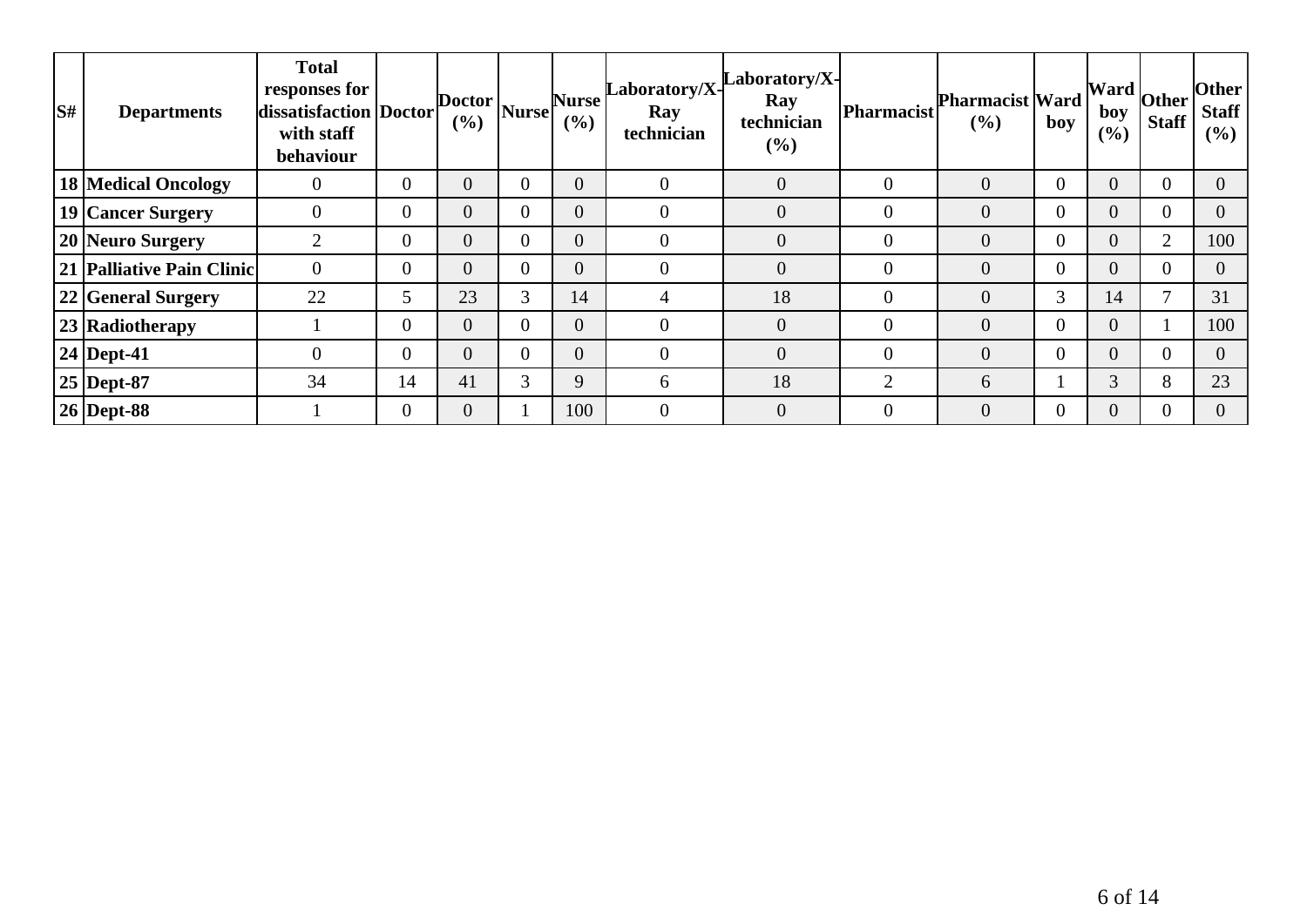| S# | <b>Departments</b>         | <b>Total</b><br>responses for<br>dissatisfaction Doctor<br>with staff<br>behaviour |                | Doctor<br>(%)  | Nurse    | <b>Nurse</b><br>$($ %) | $\bf Laboratory/X-$<br>Ray<br>technician | Laboratory/X-<br>Ray<br>technician<br>$($ %) | Pharmacist     | <b>Pharmacist Ward</b><br>$($ %) | boy            | boy<br>(%)     | $\overline{\phantom{a}}$ . [Ward $\overline{\phantom{a}}$ Other $\overline{\phantom{a}}$<br><b>Staff</b> | <b>Other</b><br><b>Staff</b><br>$($ %) |
|----|----------------------------|------------------------------------------------------------------------------------|----------------|----------------|----------|------------------------|------------------------------------------|----------------------------------------------|----------------|----------------------------------|----------------|----------------|----------------------------------------------------------------------------------------------------------|----------------------------------------|
|    | <b>18 Medical Oncology</b> | $\theta$                                                                           | $\overline{0}$ | $\overline{0}$ | $\theta$ | $\overline{0}$         | $\theta$                                 | $\overline{0}$                               | $\overline{0}$ | $\overline{0}$                   | $\overline{0}$ | $\overline{0}$ | $\mathbf{0}$                                                                                             | $\Omega$                               |
|    | 19 Cancer Surgery          | $\overline{0}$                                                                     | $\overline{0}$ | $\overline{0}$ | $\Omega$ |                        | $\overline{0}$                           | $\overline{0}$                               | $\overline{0}$ | $\overline{0}$                   | $\overline{0}$ | $\overline{0}$ | $\theta$                                                                                                 |                                        |
|    | 20 Neuro Surgery           | $\overline{2}$                                                                     | $\overline{0}$ | $\overline{0}$ | $\Omega$ |                        | $\overline{0}$                           | $\overline{0}$                               | $\theta$       | $\overline{0}$                   | $\overline{0}$ | $\overline{0}$ | $\overline{2}$                                                                                           | 100                                    |
|    | 21 Palliative Pain Clinic  | $\overline{0}$                                                                     | $\overline{0}$ | $\overline{0}$ | $\Omega$ | $\overline{0}$         | $\overline{0}$                           | $\overline{0}$                               | $\overline{0}$ | $\overline{0}$                   | $\overline{0}$ | $\overline{0}$ | $\overline{0}$                                                                                           | 0                                      |
|    | 22 General Surgery         | 22                                                                                 | 5              | 23             | 3        | 14                     | 4                                        | 18                                           | $\overline{0}$ | $\overline{0}$                   | 3              | 14             | $\mathbf{r}$                                                                                             | 31                                     |
|    | 23 Radiotherapy            |                                                                                    | $\overline{0}$ | $\overline{0}$ | $\Omega$ |                        | $\overline{0}$                           | $\overline{0}$                               | $\theta$       | $\overline{0}$                   | $\overline{0}$ | $\overline{0}$ |                                                                                                          | 100                                    |
|    | $24$ Dept-41               | $\overline{0}$                                                                     | $\overline{0}$ | $\overline{0}$ | $\theta$ | $\overline{0}$         | $\overline{0}$                           | $\overline{0}$                               | $\overline{0}$ | $\overline{0}$                   | $\overline{0}$ | $\overline{0}$ | $\overline{0}$                                                                                           | $\Omega$                               |
|    | $25$ Dept-87               | 34                                                                                 | 14             | 41             | 3        | 9                      | 6                                        | 18                                           | $\overline{2}$ | 6                                |                | 3              | 8                                                                                                        | 23                                     |
|    | $26$ Dept-88               |                                                                                    | $\overline{0}$ | $\overline{0}$ |          | 100                    | $\theta$                                 | $\overline{0}$                               | $\theta$       | $\overline{0}$                   | 0              | $\overline{0}$ | $\theta$                                                                                                 |                                        |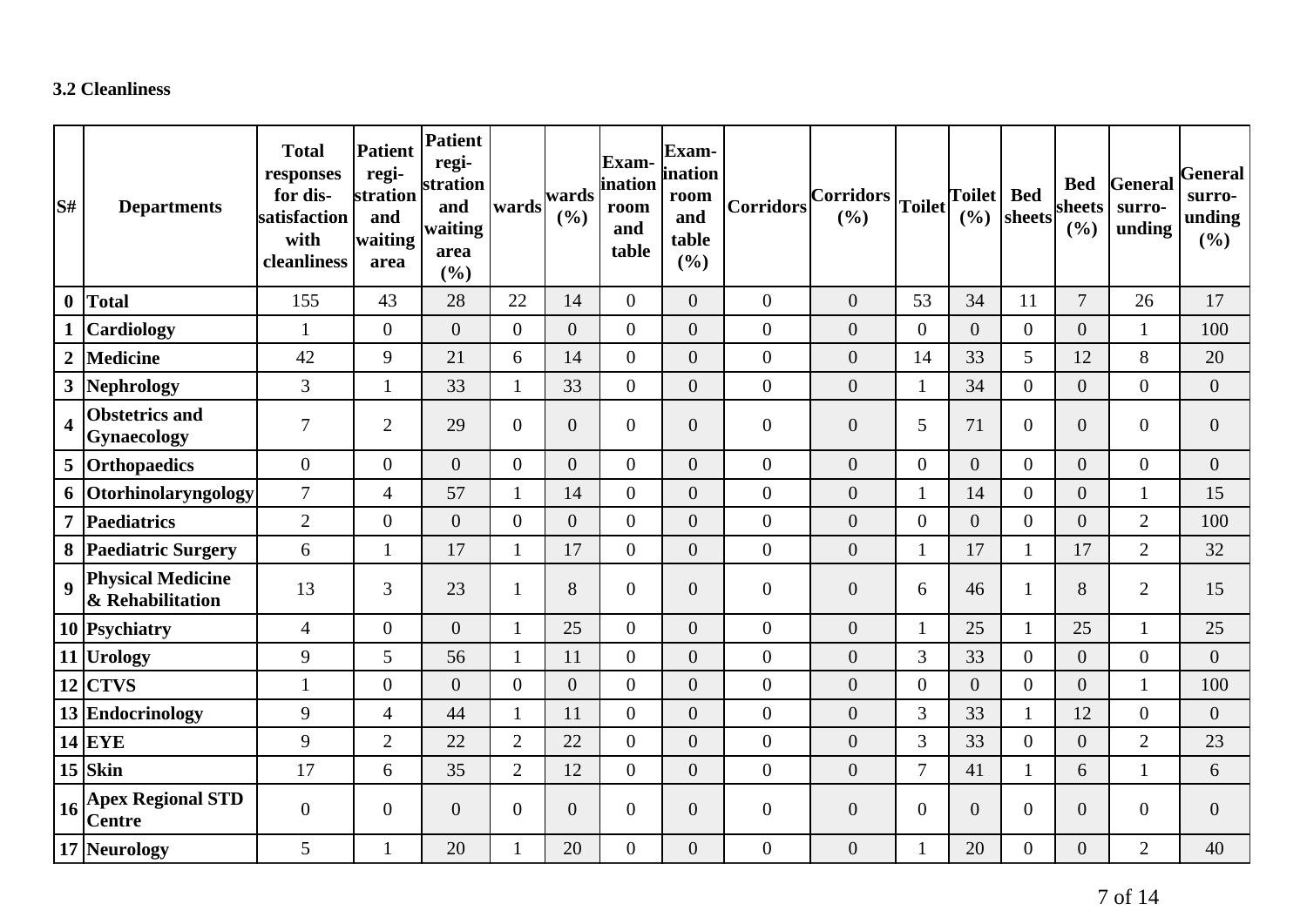### **3.2 Cleanliness**

| lS#                     | <b>Departments</b>                           | <b>Total</b><br>responses<br>for dis-<br>satisfaction<br>with<br>cleanliness | <b>Patient</b><br>regi-<br>stration<br>and<br>waiting<br>area | Patient<br>regi-<br>stration<br>and<br>waiting<br>area<br>(%) | wards          | wards<br>(%)     | <b>Exam-</b><br>ination<br>room<br>and<br>table | Exam-<br>ination<br>room<br>and<br>table<br>(%) | <b>Corridors</b> | Corridors<br>(%) | <b>Toilet</b>    | <b>Toilet</b><br>(%) | <b>Bed</b><br>sheets | <b>Bed</b><br>sheets<br>(%) | General<br>surro-<br>unding | General<br>surro-<br>unding<br>(%) |
|-------------------------|----------------------------------------------|------------------------------------------------------------------------------|---------------------------------------------------------------|---------------------------------------------------------------|----------------|------------------|-------------------------------------------------|-------------------------------------------------|------------------|------------------|------------------|----------------------|----------------------|-----------------------------|-----------------------------|------------------------------------|
| $\boldsymbol{0}$        | <b>Total</b>                                 | 155                                                                          | 43                                                            | 28                                                            | 22             | 14               | $\overline{0}$                                  | $\overline{0}$                                  | $\theta$         | $\overline{0}$   | 53               | 34                   | 11                   | $\overline{7}$              | 26                          | 17                                 |
|                         | Cardiology                                   | $\mathbf{1}$                                                                 | $\overline{0}$                                                | $\overline{0}$                                                | $\overline{0}$ | $\overline{0}$   | $\overline{0}$                                  | $\overline{0}$                                  | $\boldsymbol{0}$ | $\overline{0}$   | $\boldsymbol{0}$ | $\Omega$             | $\overline{0}$       | $\overline{0}$              | $\mathbf{1}$                | 100                                |
| $\boldsymbol{2}$        | <b>Medicine</b>                              | 42                                                                           | 9                                                             | 21                                                            | 6              | 14               | $\overline{0}$                                  | $\boldsymbol{0}$                                | $\boldsymbol{0}$ | $\boldsymbol{0}$ | 14               | 33                   | 5                    | 12                          | 8                           | 20                                 |
| $\mathbf{3}$            | Nephrology                                   | 3                                                                            |                                                               | 33                                                            | $\mathbf{1}$   | 33               | $\overline{0}$                                  | $\boldsymbol{0}$                                | $\boldsymbol{0}$ | $\overline{0}$   | $\mathbf{1}$     | 34                   | $\overline{0}$       | $\overline{0}$              | $\overline{0}$              | $\overline{0}$                     |
| $\overline{\mathbf{4}}$ | <b>Obstetrics and</b><br>Gynaecology         | $\overline{7}$                                                               | $\overline{2}$                                                | 29                                                            | $\overline{0}$ | $\boldsymbol{0}$ | $\overline{0}$                                  | $\boldsymbol{0}$                                | $\boldsymbol{0}$ | $\overline{0}$   | 5                | 71                   | $\overline{0}$       | $\boldsymbol{0}$            | $\overline{0}$              | $\boldsymbol{0}$                   |
|                         | 5 Orthopaedics                               | $\overline{0}$                                                               | $\overline{0}$                                                | $\overline{0}$                                                | $\overline{0}$ | $\overline{0}$   | $\overline{0}$                                  | $\overline{0}$                                  | $\boldsymbol{0}$ | $\overline{0}$   | $\overline{0}$   | $\overline{0}$       | $\overline{0}$       | $\overline{0}$              | $\overline{0}$              | $\overline{0}$                     |
| 6                       | Otorhinolaryngology                          | $\tau$                                                                       | $\overline{4}$                                                | 57                                                            | $\mathbf{1}$   | 14               | $\overline{0}$                                  | $\boldsymbol{0}$                                | $\boldsymbol{0}$ | $\overline{0}$   | $\mathbf{1}$     | 14                   | $\overline{0}$       | $\boldsymbol{0}$            | $\mathbf{1}$                | 15                                 |
| $\overline{7}$          | <b>Paediatrics</b>                           | $\overline{2}$                                                               | $\overline{0}$                                                | $\overline{0}$                                                | $\overline{0}$ | $\overline{0}$   | $\overline{0}$                                  | $\overline{0}$                                  | $\boldsymbol{0}$ | $\overline{0}$   | $\overline{0}$   | $\overline{0}$       | $\overline{0}$       | $\boldsymbol{0}$            | $\overline{2}$              | 100                                |
| 8                       | <b>Paediatric Surgery</b>                    | 6                                                                            | $\mathbf{1}$                                                  | 17                                                            | $\mathbf{1}$   | 17               | $\overline{0}$                                  | $\boldsymbol{0}$                                | $\boldsymbol{0}$ | $\boldsymbol{0}$ | $\mathbf{1}$     | 17                   | $\mathbf{1}$         | 17                          | $\overline{2}$              | 32                                 |
| $\boldsymbol{9}$        | <b>Physical Medicine</b><br>& Rehabilitation | 13                                                                           | 3                                                             | 23                                                            |                | 8                | $\overline{0}$                                  | $\overline{0}$                                  | $\boldsymbol{0}$ | $\overline{0}$   | 6                | 46                   |                      | 8                           | $\overline{2}$              | 15                                 |
|                         | 10 Psychiatry                                | $\overline{4}$                                                               | $\overline{0}$                                                | $\overline{0}$                                                |                | 25               | $\overline{0}$                                  | $\overline{0}$                                  | $\boldsymbol{0}$ | $\overline{0}$   | $\mathbf{1}$     | 25                   | $\mathbf{1}$         | 25                          | 1                           | 25                                 |
|                         | 11 Urology                                   | 9                                                                            | 5                                                             | 56                                                            |                | 11               | $\overline{0}$                                  | $\overline{0}$                                  | $\boldsymbol{0}$ | $\overline{0}$   | 3                | 33                   | $\overline{0}$       | $\boldsymbol{0}$            | $\overline{0}$              | $\boldsymbol{0}$                   |
|                         | $12$ CTVS                                    | $\mathbf{1}$                                                                 | $\overline{0}$                                                | $\overline{0}$                                                | $\overline{0}$ | $\overline{0}$   | $\overline{0}$                                  | $\boldsymbol{0}$                                | $\overline{0}$   | $\overline{0}$   | $\boldsymbol{0}$ | $\overline{0}$       | $\mathbf{0}$         | $\boldsymbol{0}$            | $\mathbf{1}$                | 100                                |
|                         | 13 Endocrinology                             | 9                                                                            | $\overline{4}$                                                | 44                                                            | $\mathbf{1}$   | 11               | $\overline{0}$                                  | $\overline{0}$                                  | $\mathbf{0}$     | $\overline{0}$   | 3                | 33                   | $\mathbf{1}$         | 12                          | $\overline{0}$              | $\boldsymbol{0}$                   |
|                         | $14$ EYE                                     | 9                                                                            | $\overline{2}$                                                | 22                                                            | $\overline{2}$ | 22               | $\overline{0}$                                  | $\overline{0}$                                  | $\boldsymbol{0}$ | $\overline{0}$   | 3                | 33                   | $\overline{0}$       | $\boldsymbol{0}$            | $\overline{2}$              | 23                                 |
|                         | $15$ Skin                                    | 17                                                                           | 6                                                             | 35                                                            | $\overline{2}$ | 12               | $\overline{0}$                                  | $\boldsymbol{0}$                                | $\boldsymbol{0}$ | $\boldsymbol{0}$ | $\overline{7}$   | 41                   | 1                    | 6                           | $\mathbf 1$                 | 6                                  |
| 16                      | <b>Apex Regional STD</b><br><b>Centre</b>    | $\boldsymbol{0}$                                                             | $\overline{0}$                                                | $\overline{0}$                                                | $\overline{0}$ | $\boldsymbol{0}$ | $\overline{0}$                                  | $\boldsymbol{0}$                                | $\boldsymbol{0}$ | $\overline{0}$   | $\boldsymbol{0}$ | $\overline{0}$       | $\overline{0}$       | $\boldsymbol{0}$            | $\overline{0}$              | $\boldsymbol{0}$                   |
|                         | 17 Neurology                                 | 5                                                                            |                                                               | 20                                                            |                | 20               | $\overline{0}$                                  | $\boldsymbol{0}$                                | $\boldsymbol{0}$ | $\boldsymbol{0}$ | $\mathbf{1}$     | 20                   | $\overline{0}$       | $\boldsymbol{0}$            | $\overline{2}$              | 40                                 |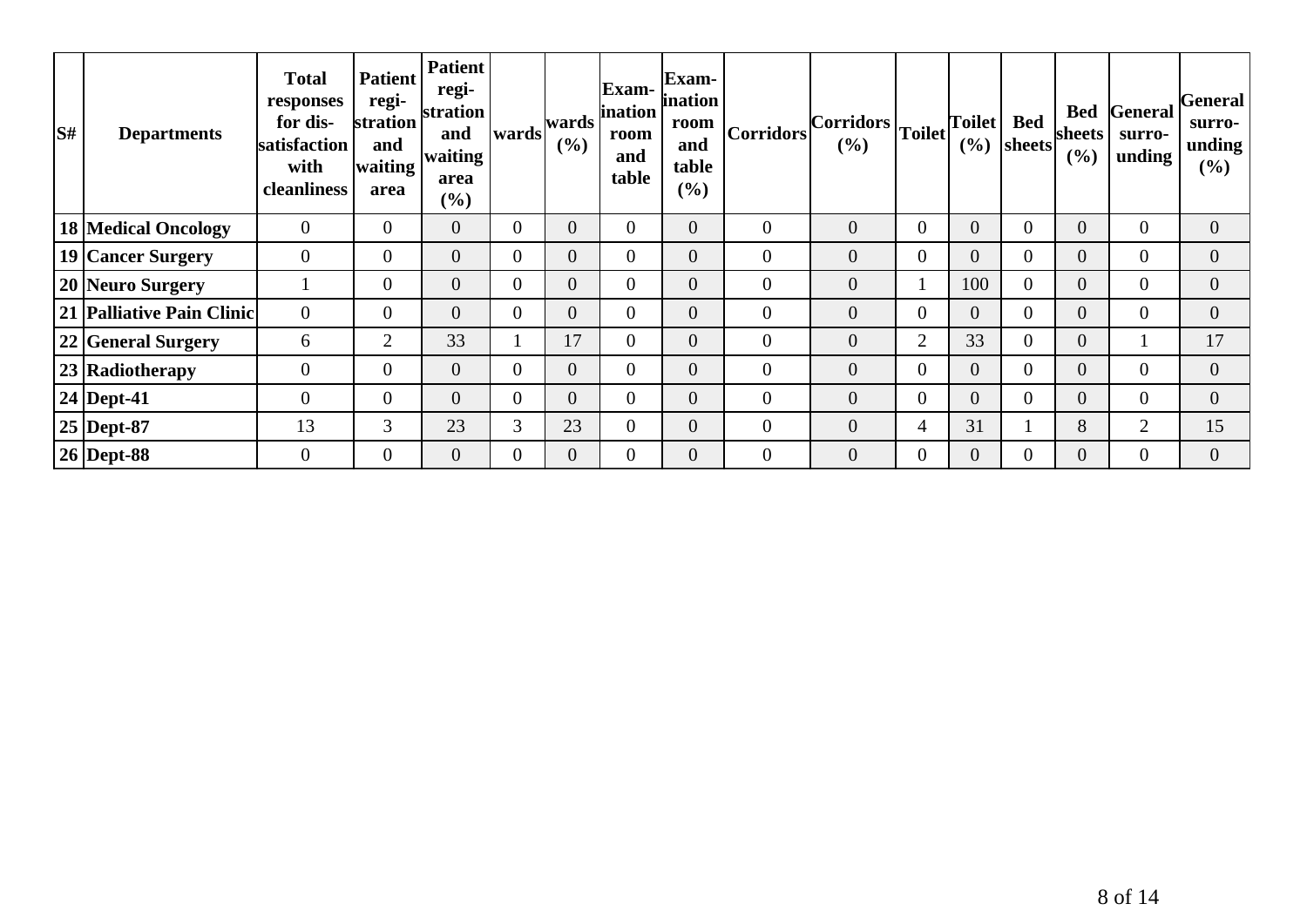| $\mathbf{S}^{\sharp}$ | <b>Departments</b>         | <b>Total</b><br>responses<br>for dis-<br>satisfaction<br>with<br>cleanliness | <b>Patient</b><br>regi-<br>stration<br>and<br>lwaiting <sup>1</sup><br>area | <b>Patient</b><br>regi-<br>stration<br>and<br>waiting<br>area<br>$(\%)$ |                | $ wards $ <sup>wards</sup> $ $<br>$($ %) | Exam-<br>ination<br>room<br>and<br>table | Exam-<br>ination<br>room<br>and<br>table<br>$(\%)$ | <b>Corridors</b> | $ Corridors _{Toilet} ^1$<br>$(\% )$ |                  | Toilet<br>(%)  | <b>Bed</b><br> sheets | <b>Bed</b><br>sheets<br>(%) | General<br>surro-<br>unding | General <br>surro-<br>unding<br>$(\%)$ |
|-----------------------|----------------------------|------------------------------------------------------------------------------|-----------------------------------------------------------------------------|-------------------------------------------------------------------------|----------------|------------------------------------------|------------------------------------------|----------------------------------------------------|------------------|--------------------------------------|------------------|----------------|-----------------------|-----------------------------|-----------------------------|----------------------------------------|
|                       | <b>18 Medical Oncology</b> | $\overline{0}$                                                               | $\overline{0}$                                                              | $\overline{0}$                                                          | $\overline{0}$ | $\overline{0}$                           | 0                                        | $\overline{0}$                                     | $\overline{0}$   | $\overline{0}$                       | $\boldsymbol{0}$ | $\overline{0}$ | $\overline{0}$        | $\overline{0}$              | $\overline{0}$              | $\overline{0}$                         |
|                       | 19 Cancer Surgery          | $\overline{0}$                                                               | $\overline{0}$                                                              | $\overline{0}$                                                          | $\overline{0}$ | $\overline{0}$                           | $\overline{0}$                           | $\overline{0}$                                     | $\theta$         | $\overline{0}$                       | $\overline{0}$   | $\Omega$       | 0                     | $\overline{0}$              | $\overline{0}$              | $\overline{0}$                         |
|                       | 20 Neuro Surgery           |                                                                              | $\overline{0}$                                                              | $\overline{0}$                                                          | $\overline{0}$ | $\overline{0}$                           | $\overline{0}$                           | $\overline{0}$                                     | $\overline{0}$   | $\overline{0}$                       | 1                | 100            | 0                     | $\overline{0}$              | $\overline{0}$              | $\overline{0}$                         |
|                       | 21 Palliative Pain Clinic  | $\overline{0}$                                                               | $\overline{0}$                                                              | $\overline{0}$                                                          | $\overline{0}$ | $\overline{0}$                           | $\overline{0}$                           | $\overline{0}$                                     | $\theta$         | $\overline{0}$                       | $\overline{0}$   | $\overline{0}$ | 0                     | $\overline{0}$              | $\overline{0}$              | $\overline{0}$                         |
|                       | 22 General Surgery         | 6                                                                            | $\overline{2}$                                                              | 33                                                                      |                | 17                                       | $\overline{0}$                           | $\overline{0}$                                     | $\overline{0}$   | $\overline{0}$                       | $\overline{2}$   | 33             | $\overline{0}$        | $\overline{0}$              |                             | 17                                     |
|                       | 23 Radiotherapy            | $\overline{0}$                                                               | $\overline{0}$                                                              | $\overline{0}$                                                          | $\overline{0}$ | $\overline{0}$                           | $\overline{0}$                           | $\overline{0}$                                     | $\overline{0}$   | $\overline{0}$                       | $\overline{0}$   | $\Omega$       | 0                     | $\overline{0}$              | $\overline{0}$              | $\overline{0}$                         |
|                       | $24$ Dept-41               | $\overline{0}$                                                               | $\overline{0}$                                                              | $\overline{0}$                                                          | $\overline{0}$ | $\overline{0}$                           | $\overline{0}$                           | $\overline{0}$                                     | $\overline{0}$   | $\overline{0}$                       | $\overline{0}$   | $\Omega$       | 0                     | $\overline{0}$              | $\overline{0}$              | $\overline{0}$                         |
|                       | $25$ Dept-87               | 13                                                                           | 3                                                                           | 23                                                                      | 3              | 23                                       | $\overline{0}$                           | 0                                                  | $\mathbf{0}$     | $\overline{0}$                       | 4                | 31             |                       | 8                           | $\overline{2}$              | 15                                     |
|                       | $26$ Dept-88               | $\theta$                                                                     | $\Omega$                                                                    | $\overline{0}$                                                          | 0              | $\overline{0}$                           | $\overline{0}$                           | $\overline{0}$                                     | $\theta$         | $\overline{0}$                       | $\overline{0}$   | $\overline{0}$ | 0                     | $\overline{0}$              | $\overline{0}$              | $\Omega$                               |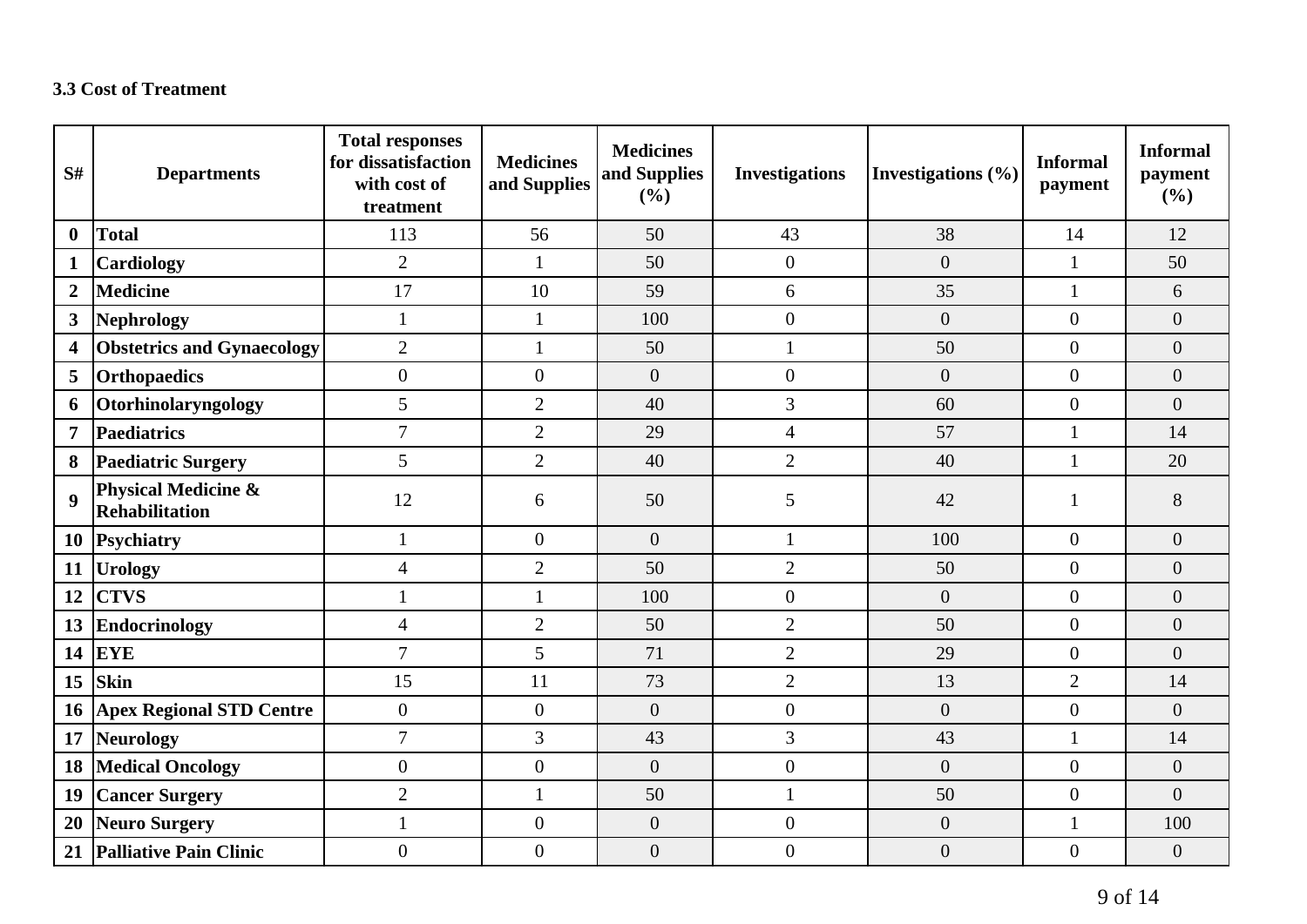#### **3.3 Cost of Treatment**

| S#               | <b>Departments</b>                                      | <b>Total responses</b><br>for dissatisfaction<br>with cost of<br>treatment | <b>Medicines</b><br>and Supplies | <b>Medicines</b><br>and Supplies<br>(%) | <b>Investigations</b> | Investigations $(\% )$ | <b>Informal</b><br>payment | <b>Informal</b><br>payment<br>(%) |
|------------------|---------------------------------------------------------|----------------------------------------------------------------------------|----------------------------------|-----------------------------------------|-----------------------|------------------------|----------------------------|-----------------------------------|
| $\bf{0}$         | <b>Total</b>                                            | 113                                                                        | 56                               | 50                                      | 43                    | 38                     | 14                         | 12                                |
| $\mathbf{1}$     | <b>Cardiology</b>                                       | $\overline{2}$                                                             | $\mathbf{1}$                     | 50                                      | $\overline{0}$        | $\overline{0}$         | $\mathbf{1}$               | 50                                |
| $\boldsymbol{2}$ | <b>Medicine</b>                                         | 17                                                                         | 10                               | 59                                      | 6                     | 35                     | $\mathbf{1}$               | 6                                 |
| 3                | <b>Nephrology</b>                                       | $\mathbf{1}$                                                               | $\mathbf{1}$                     | 100                                     | $\boldsymbol{0}$      | $\boldsymbol{0}$       | $\overline{0}$             | $\overline{0}$                    |
| 4                | <b>Obstetrics and Gynaecology</b>                       | $\overline{2}$                                                             | $\mathbf{1}$                     | 50                                      | $\mathbf{1}$          | 50                     | $\overline{0}$             | $\overline{0}$                    |
| 5                | <b>Orthopaedics</b>                                     | $\boldsymbol{0}$                                                           | $\overline{0}$                   | $\overline{0}$                          | $\overline{0}$        | $\overline{0}$         | $\overline{0}$             | $\overline{0}$                    |
| 6                | Otorhinolaryngology                                     | $\mathfrak{S}$                                                             | $\overline{2}$                   | 40                                      | 3                     | 60                     | $\overline{0}$             | $\overline{0}$                    |
| $\overline{7}$   | <b>Paediatrics</b>                                      | $\overline{7}$                                                             | $\overline{2}$                   | 29                                      | $\overline{4}$        | 57                     | $\mathbf{1}$               | 14                                |
| 8                | <b>Paediatric Surgery</b>                               | 5                                                                          | $\overline{2}$                   | 40                                      | $\overline{2}$        | 40                     | $\mathbf{1}$               | 20                                |
| $\boldsymbol{9}$ | <b>Physical Medicine &amp;</b><br><b>Rehabilitation</b> | 12                                                                         | 6                                | 50                                      | 5                     | 42                     | 1                          | 8                                 |
| <b>10</b>        | <b>Psychiatry</b>                                       | $\mathbf{1}$                                                               | $\overline{0}$                   | $\overline{0}$                          | $\mathbf{1}$          | 100                    | $\overline{0}$             | $\overline{0}$                    |
| 11               | <b>Urology</b>                                          | $\overline{4}$                                                             | $\overline{2}$                   | 50                                      | $\overline{2}$        | 50                     | $\overline{0}$             | $\overline{0}$                    |
| 12               | <b>CTVS</b>                                             | $\mathbf{1}$                                                               | $\mathbf{1}$                     | 100                                     | $\boldsymbol{0}$      | $\overline{0}$         | $\overline{0}$             | $\overline{0}$                    |
| 13               | <b>Endocrinology</b>                                    | $\overline{4}$                                                             | $\overline{2}$                   | 50                                      | $\overline{2}$        | 50                     | $\overline{0}$             | $\overline{0}$                    |
| 14               | <b>EYE</b>                                              | $\overline{7}$                                                             | 5                                | 71                                      | $\overline{2}$        | 29                     | $\overline{0}$             | $\overline{0}$                    |
| 15               | <b>Skin</b>                                             | 15                                                                         | 11                               | 73                                      | $\overline{2}$        | 13                     | $\overline{2}$             | 14                                |
| 16               | <b>Apex Regional STD Centre</b>                         | $\boldsymbol{0}$                                                           | $\theta$                         | $\overline{0}$                          | $\overline{0}$        | $\overline{0}$         | $\overline{0}$             | $\overline{0}$                    |
| 17               | <b>Neurology</b>                                        | $\overline{7}$                                                             | 3                                | 43                                      | 3                     | 43                     | $\mathbf{1}$               | 14                                |
| 18               | <b>Medical Oncology</b>                                 | $\boldsymbol{0}$                                                           | $\overline{0}$                   | $\overline{0}$                          | $\mathbf{0}$          | $\overline{0}$         | $\overline{0}$             | $\overline{0}$                    |
| 19               | <b>Cancer Surgery</b>                                   | $\overline{2}$                                                             | $\mathbf{1}$                     | 50                                      | 1                     | 50                     | $\overline{0}$             | $\overline{0}$                    |
| 20               | Neuro Surgery                                           | $\mathbf{1}$                                                               | $\boldsymbol{0}$                 | $\boldsymbol{0}$                        | $\boldsymbol{0}$      | $\boldsymbol{0}$       | $\mathbf{1}$               | 100                               |
| 21               | <b>Palliative Pain Clinic</b>                           | $\overline{0}$                                                             | $\overline{0}$                   | $\overline{0}$                          | $\boldsymbol{0}$      | $\overline{0}$         | $\overline{0}$             | $\overline{0}$                    |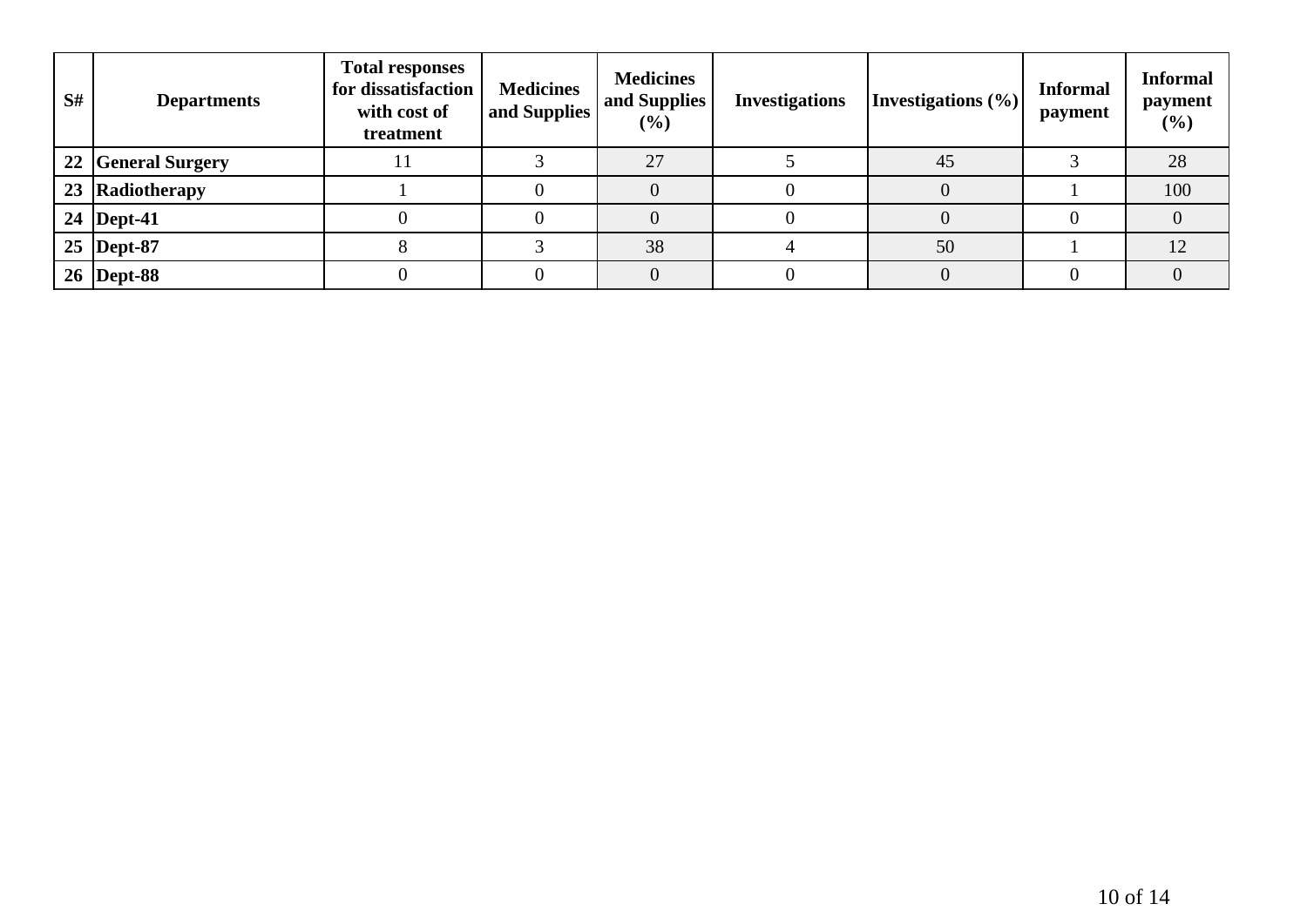| S# | <b>Departments</b> | <b>Total responses</b><br>for dissatisfaction<br>with cost of<br>treatment | <b>Medicines</b><br>and Supplies | <b>Medicines</b><br>and Supplies<br>$(\%)$ | <b>Investigations</b> | Investigations (%) | <b>Informal</b><br>payment | <b>Informal</b><br>payment<br>$(\%)$ |
|----|--------------------|----------------------------------------------------------------------------|----------------------------------|--------------------------------------------|-----------------------|--------------------|----------------------------|--------------------------------------|
|    | 22 General Surgery | 11                                                                         |                                  | 27                                         |                       | 45                 |                            | 28                                   |
| 23 | Radiotherapy       |                                                                            |                                  |                                            |                       |                    |                            | 100                                  |
|    | 24   Dept-41       |                                                                            |                                  |                                            |                       |                    |                            |                                      |
|    | $25$ Dept-87       |                                                                            |                                  | 38                                         |                       | 50                 |                            | 12                                   |
|    | 26   Dept-88       |                                                                            |                                  |                                            |                       |                    |                            |                                      |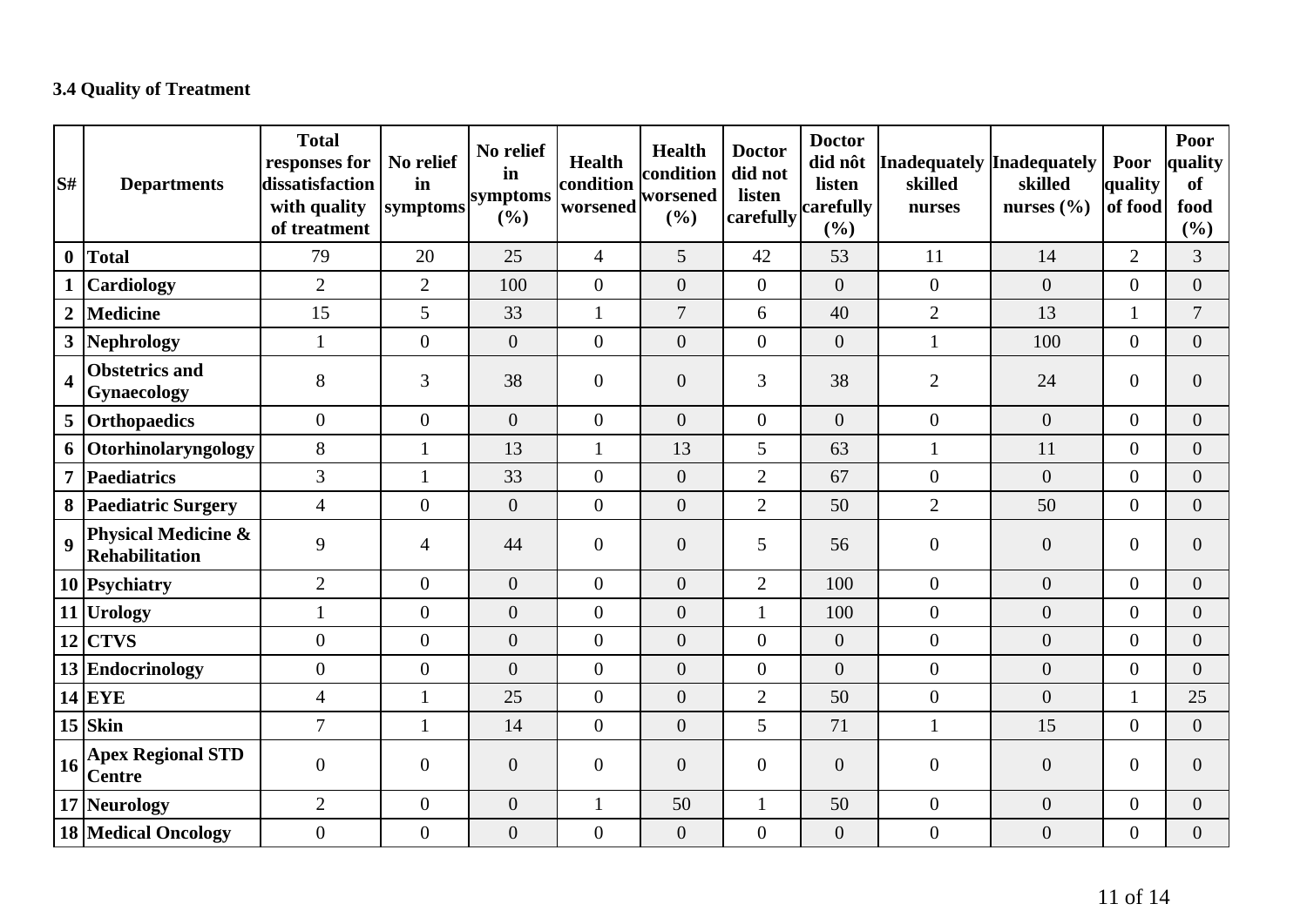### **3.4 Quality of Treatment**

| S#                      | <b>Departments</b>                               | <b>Total</b><br>responses for<br>dissatisfaction<br>with quality<br>of treatment | No relief<br>in<br>symptoms | No relief<br>in<br>symptoms<br>(%) | <b>Health</b><br>condition<br>worsened | Health<br>condition<br>worsened<br>(%) | <b>Doctor</b><br>did not<br>listen<br>carefully | <b>Doctor</b><br>did nôt<br>listen<br>carefully<br>(%) | Inadequately Inadequately<br>skilled<br>nurses | skilled<br>nurses $(\% )$ | Poor<br>quality<br>of food | Poor<br>quality<br><b>of</b><br>food<br>(%) |
|-------------------------|--------------------------------------------------|----------------------------------------------------------------------------------|-----------------------------|------------------------------------|----------------------------------------|----------------------------------------|-------------------------------------------------|--------------------------------------------------------|------------------------------------------------|---------------------------|----------------------------|---------------------------------------------|
| $\boldsymbol{0}$        | Total                                            | 79                                                                               | 20                          | 25                                 | $\overline{4}$                         | $5\overline{)}$                        | 42                                              | 53                                                     | 11                                             | 14                        | $\overline{2}$             | 3                                           |
|                         | <b>Cardiology</b>                                | $\overline{2}$                                                                   | $\overline{2}$              | 100                                | $\overline{0}$                         | $\overline{0}$                         | $\overline{0}$                                  | $\overline{0}$                                         | $\overline{0}$                                 | $\overline{0}$            | $\overline{0}$             | $\overline{0}$                              |
| $\overline{2}$          | Medicine                                         | 15                                                                               | 5                           | 33                                 | 1                                      | $\overline{7}$                         | 6                                               | 40                                                     | $\overline{2}$                                 | 13                        | 1                          | $\overline{7}$                              |
|                         | 3 Nephrology                                     |                                                                                  | $\mathbf{0}$                | $\overline{0}$                     | $\overline{0}$                         | $\overline{0}$                         | $\overline{0}$                                  | $\overline{0}$                                         | $\mathbf{1}$                                   | 100                       | $\overline{0}$             | $\overline{0}$                              |
| $\overline{\mathbf{4}}$ | <b>Obstetrics and</b><br>Gynaecology             | 8                                                                                | 3                           | 38                                 | $\theta$                               | $\mathbf{0}$                           | 3                                               | 38                                                     | $\overline{2}$                                 | 24                        | $\overline{0}$             | $\overline{0}$                              |
|                         | 5 Orthopaedics                                   | $\overline{0}$                                                                   | $\overline{0}$              | $\overline{0}$                     | $\overline{0}$                         | $\overline{0}$                         | $\overline{0}$                                  | $\overline{0}$                                         | $\overline{0}$                                 | $\overline{0}$            | $\Omega$                   | $\overline{0}$                              |
|                         | 6 Otorhinolaryngology                            | 8                                                                                | $\mathbf{1}$                | 13                                 | 1                                      | 13                                     | 5                                               | 63                                                     | $\mathbf{1}$                                   | 11                        | $\overline{0}$             | $\overline{0}$                              |
|                         | 7 Paediatrics                                    | 3                                                                                | 1                           | 33                                 | $\mathbf{0}$                           | $\overline{0}$                         | $\overline{2}$                                  | 67                                                     | $\overline{0}$                                 | $\overline{0}$            | $\overline{0}$             | $\overline{0}$                              |
|                         | 8 Paediatric Surgery                             | $\overline{4}$                                                                   | $\mathbf{0}$                | $\boldsymbol{0}$                   | $\overline{0}$                         | $\overline{0}$                         | $\overline{2}$                                  | 50                                                     | $\overline{2}$                                 | 50                        | $\overline{0}$             | $\overline{0}$                              |
| $\boldsymbol{9}$        | <b>Physical Medicine &amp;</b><br>Rehabilitation | 9                                                                                | $\overline{4}$              | 44                                 | $\boldsymbol{0}$                       | $\mathbf{0}$                           | 5                                               | 56                                                     | $\boldsymbol{0}$                               | $\overline{0}$            | $\overline{0}$             | $\overline{0}$                              |
|                         | 10 Psychiatry                                    | $\overline{2}$                                                                   | $\boldsymbol{0}$            | $\overline{0}$                     | $\overline{0}$                         | $\overline{0}$                         | $\overline{2}$                                  | 100                                                    | $\overline{0}$                                 | $\overline{0}$            | $\overline{0}$             | $\overline{0}$                              |
|                         | 11 Urology                                       |                                                                                  | $\boldsymbol{0}$            | $\boldsymbol{0}$                   | $\boldsymbol{0}$                       | $\overline{0}$                         | $\mathbf{1}$                                    | 100                                                    | $\overline{0}$                                 | $\overline{0}$            | $\overline{0}$             | $\overline{0}$                              |
|                         | $12$ CTVS                                        | $\overline{0}$                                                                   | $\overline{0}$              | $\overline{0}$                     | $\overline{0}$                         | $\overline{0}$                         | $\overline{0}$                                  | $\overline{0}$                                         | $\overline{0}$                                 | $\overline{0}$            | $\overline{0}$             | $\overline{0}$                              |
|                         | 13 Endocrinology                                 | $\overline{0}$                                                                   | $\mathbf{0}$                | $\overline{0}$                     | $\overline{0}$                         | $\overline{0}$                         | $\overline{0}$                                  | $\overline{0}$                                         | $\overline{0}$                                 | $\overline{0}$            | $\overline{0}$             | $\overline{0}$                              |
|                         | $14$ EYE                                         | $\overline{4}$                                                                   | $\mathbf{1}$                | 25                                 | $\mathbf{0}$                           | $\overline{0}$                         | $\overline{2}$                                  | 50                                                     | $\overline{0}$                                 | $\overline{0}$            | 1                          | 25                                          |
|                         | $15$ Skin                                        | $\overline{7}$                                                                   | $\mathbf{1}$                | 14                                 | $\mathbf{0}$                           | $\overline{0}$                         | $\overline{5}$                                  | 71                                                     | $\mathbf{1}$                                   | 15                        | $\overline{0}$             | $\overline{0}$                              |
| 16                      | <b>Apex Regional STD</b><br><b>Centre</b>        | $\overline{0}$                                                                   | $\overline{0}$              | $\boldsymbol{0}$                   | $\boldsymbol{0}$                       | $\mathbf{0}$                           | $\overline{0}$                                  | $\mathbf{0}$                                           | $\mathbf{0}$                                   | $\overline{0}$            | $\boldsymbol{0}$           | $\overline{0}$                              |
|                         | 17 Neurology                                     | $\overline{2}$                                                                   | $\mathbf{0}$                | $\boldsymbol{0}$                   | 1                                      | 50                                     | $\mathbf{1}$                                    | 50                                                     | $\overline{0}$                                 | $\overline{0}$            | $\boldsymbol{0}$           | $\overline{0}$                              |
|                         | <b>18 Medical Oncology</b>                       | $\overline{0}$                                                                   | $\boldsymbol{0}$            | $\boldsymbol{0}$                   | $\boldsymbol{0}$                       | $\boldsymbol{0}$                       | $\overline{0}$                                  | $\boldsymbol{0}$                                       | $\boldsymbol{0}$                               | $\overline{0}$            | $\overline{0}$             | $\overline{0}$                              |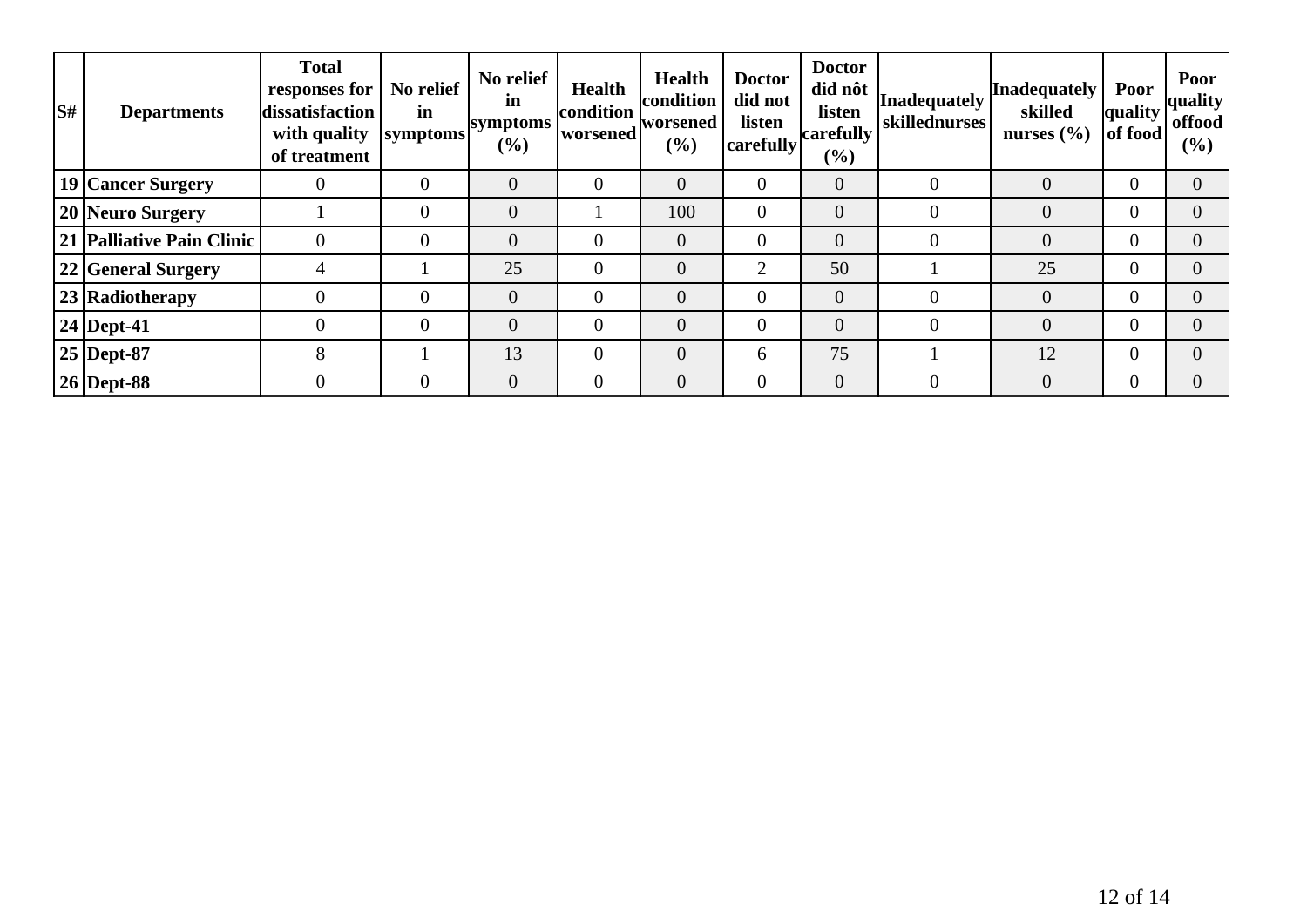| lS# | <b>Departments</b>        | <b>Total</b><br>responses for<br>dissatisfaction<br>with quality<br>of treatment | No relief<br>in<br><b>symptoms</b> | No relief<br>in<br>symptoms<br>$(\%)$ | <b>Health</b><br>condition<br>worsened | <b>Health</b><br>condition<br> worsened<br>(%) | <b>Doctor</b><br>did not<br>listen<br>carefully | <b>Doctor</b><br>did nôt<br>listen<br>carefully<br>$($ %) | <b>Inadequately</b><br>skillednurses | Inadequately<br>skilled<br>nurses $(\% )$ | <b>Poor</b><br>quality<br>of food | Poor<br>quality<br>offood<br>(%) |
|-----|---------------------------|----------------------------------------------------------------------------------|------------------------------------|---------------------------------------|----------------------------------------|------------------------------------------------|-------------------------------------------------|-----------------------------------------------------------|--------------------------------------|-------------------------------------------|-----------------------------------|----------------------------------|
|     | 19 Cancer Surgery         |                                                                                  | $\theta$                           | $\overline{0}$                        | $\Omega$                               | $\overline{0}$                                 | $\overline{0}$                                  | $\overline{0}$                                            | $\overline{0}$                       | $\overline{0}$                            |                                   |                                  |
|     | 20 Neuro Surgery          |                                                                                  | $\overline{0}$                     | $\overline{0}$                        |                                        | 100                                            | $\overline{0}$                                  | $\overline{0}$                                            | $\overline{0}$                       | $\overline{0}$                            |                                   |                                  |
|     | 21 Palliative Pain Clinic |                                                                                  | $\overline{0}$                     | $\overline{0}$                        | $\overline{0}$                         | $\overline{0}$                                 | $\overline{0}$                                  | $\overline{0}$                                            | $\overline{0}$                       | $\overline{0}$                            |                                   |                                  |
|     | 22 General Surgery        | 4                                                                                |                                    | 25                                    | $\Omega$                               | $\overline{0}$                                 | $\overline{2}$                                  | 50                                                        |                                      | 25                                        |                                   |                                  |
|     | 23 Radiotherapy           |                                                                                  | $\theta$                           | $\overline{0}$                        | $\overline{0}$                         | $\overline{0}$                                 | $\overline{0}$                                  | $\overline{0}$                                            | $\overline{0}$                       | $\overline{0}$                            |                                   |                                  |
|     | $24$ Dept-41              |                                                                                  | $\overline{0}$                     | $\Omega$                              | $\Omega$                               | $\overline{0}$                                 | $\overline{0}$                                  | $\overline{0}$                                            | $\overline{0}$                       | $\overline{0}$                            |                                   |                                  |
|     | $25$ Dept-87              | 8                                                                                |                                    | 13                                    | $\Omega$                               | $\overline{0}$                                 | 6                                               | 75                                                        |                                      | 12                                        |                                   |                                  |
|     | $26$ Dept-88              |                                                                                  | $\overline{0}$                     | $\overline{0}$                        | $\overline{0}$                         | $\overline{0}$                                 | $\overline{0}$                                  | $\overline{0}$                                            | $\boldsymbol{0}$                     | $\overline{0}$                            |                                   |                                  |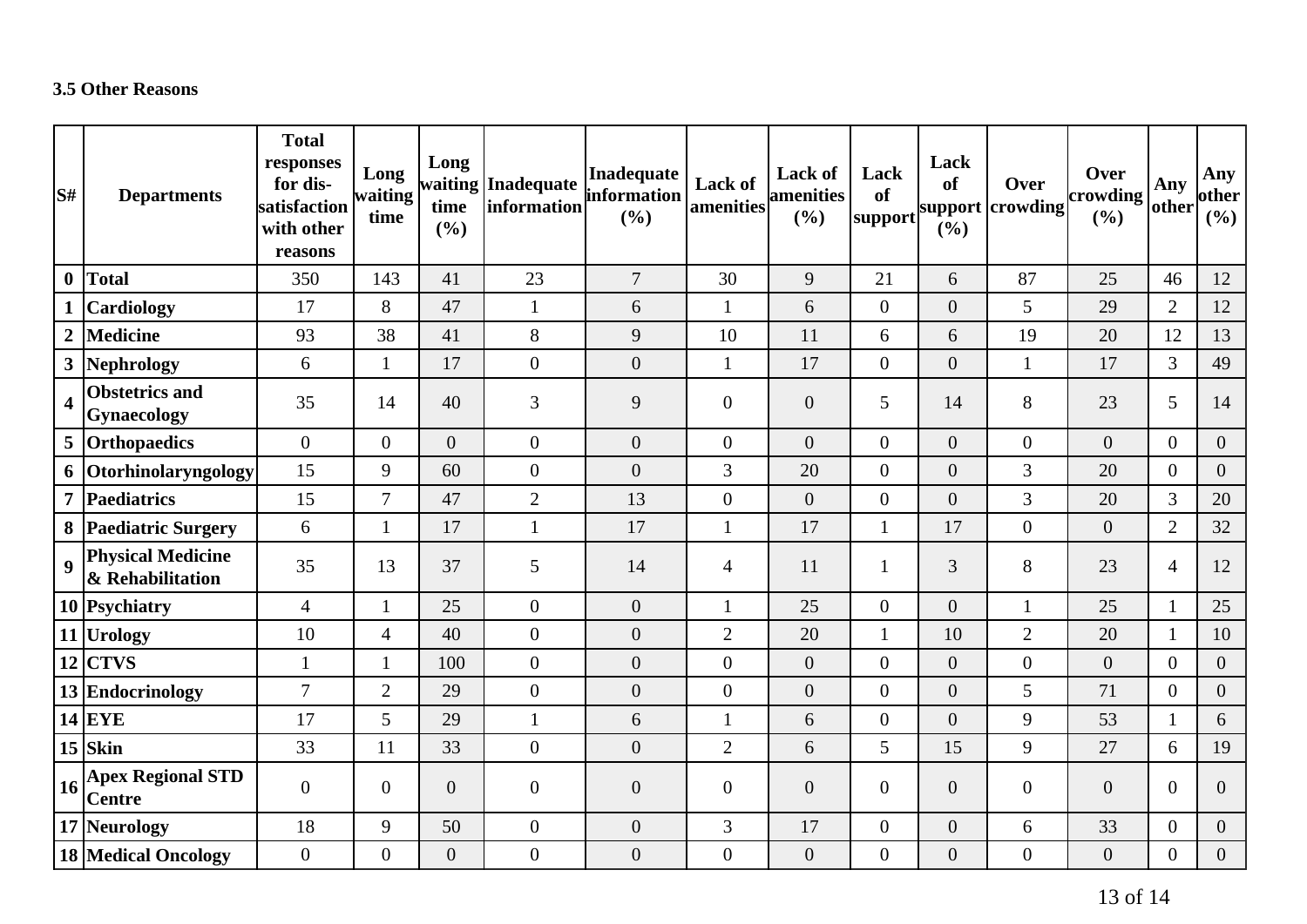#### **3.5 Other Reasons**

| S#                      | <b>Departments</b>                                   | <b>Total</b><br>responses<br>for dis-<br>satisfaction<br>with other<br>reasons | Long<br>waiting<br>time | Long<br>time<br>(%) | waiting Inadequate<br>information | Inadequate<br>information<br>(%) | Lack of<br>amenities | <b>Lack of</b><br><b>amenities</b><br>(%) | Lack<br>of<br>support | Lack<br><b>of</b><br>(%) | Over<br>support crowding | Over<br>$ $ crowding $ $<br>(%) | Any<br>other   | Any<br>other<br>(%) |
|-------------------------|------------------------------------------------------|--------------------------------------------------------------------------------|-------------------------|---------------------|-----------------------------------|----------------------------------|----------------------|-------------------------------------------|-----------------------|--------------------------|--------------------------|---------------------------------|----------------|---------------------|
| $\boldsymbol{0}$        | Total                                                | 350                                                                            | 143                     | 41                  | 23                                | $\overline{7}$                   | 30                   | 9                                         | 21                    | 6                        | 87                       | 25                              | 46             | 12                  |
|                         | <b>Cardiology</b>                                    | 17                                                                             | 8                       | 47                  | $\mathbf{1}$                      | 6                                | $\mathbf{1}$         | 6                                         | $\overline{0}$        | $\boldsymbol{0}$         | 5                        | 29                              | $\overline{2}$ | 12                  |
| $\overline{2}$          | Medicine                                             | 93                                                                             | 38                      | 41                  | 8                                 | 9                                | 10                   | 11                                        | 6                     | 6                        | 19                       | 20                              | 12             | 13                  |
|                         | 3 Nephrology                                         | 6                                                                              | $\mathbf{1}$            | 17                  | $\boldsymbol{0}$                  | $\boldsymbol{0}$                 | $\mathbf{1}$         | 17                                        | $\overline{0}$        | $\boldsymbol{0}$         | $\mathbf{1}$             | 17                              | $\overline{3}$ | 49                  |
| $\overline{\mathbf{4}}$ | <b>Obstetrics and</b><br>Gynaecology                 | 35                                                                             | 14                      | 40                  | 3                                 | 9                                | $\overline{0}$       | $\overline{0}$                            | 5                     | 14                       | 8                        | 23                              | 5              | 14                  |
|                         | 5 Orthopaedics                                       | $\overline{0}$                                                                 | $\overline{0}$          | $\overline{0}$      | $\boldsymbol{0}$                  | $\mathbf{0}$                     | $\overline{0}$       | $\overline{0}$                            | $\overline{0}$        | $\overline{0}$           | $\Omega$                 | $\overline{0}$                  | $\overline{0}$ | $\overline{0}$      |
|                         | 6 Otorhinolaryngology                                | 15                                                                             | 9                       | 60                  | $\boldsymbol{0}$                  | $\overline{0}$                   | 3                    | 20                                        | $\overline{0}$        | $\overline{0}$           | 3                        | 20                              | $\overline{0}$ | $\overline{0}$      |
| $\overline{7}$          | Paediatrics                                          | 15                                                                             | $\overline{7}$          | 47                  | $\overline{2}$                    | 13                               | $\boldsymbol{0}$     | $\overline{0}$                            | $\overline{0}$        | $\overline{0}$           | 3                        | 20                              | $\overline{3}$ | 20                  |
|                         | 8 Paediatric Surgery                                 | 6                                                                              | 1                       | 17                  | $\mathbf{1}$                      | 17                               | $\mathbf{1}$         | 17                                        | $\mathbf{1}$          | 17                       | $\overline{0}$           | $\overline{0}$                  | $\overline{2}$ | 32                  |
| $\overline{9}$          | <b>Physical Medicine</b><br>& Rehabilitation         | 35                                                                             | 13                      | 37                  | 5                                 | 14                               | $\overline{4}$       | 11                                        | 1                     | 3                        | 8                        | 23                              | $\overline{4}$ | 12                  |
|                         | 10 Psychiatry                                        | $\overline{4}$                                                                 | 1                       | 25                  | $\boldsymbol{0}$                  | $\mathbf{0}$                     | $\mathbf{1}$         | 25                                        | $\overline{0}$        | $\overline{0}$           | 1                        | 25                              | $\mathbf{1}$   | 25                  |
|                         | 11 Urology                                           | 10                                                                             | $\overline{4}$          | 40                  | $\boldsymbol{0}$                  | $\boldsymbol{0}$                 | $\overline{2}$       | 20                                        | 1                     | 10                       | $\overline{2}$           | 20                              | $\mathbf{1}$   | 10                  |
|                         | $12$ CTVS                                            | $\mathbf{1}$                                                                   | 1                       | 100                 | $\boldsymbol{0}$                  | $\boldsymbol{0}$                 | $\boldsymbol{0}$     | $\overline{0}$                            | $\overline{0}$        | $\overline{0}$           | $\overline{0}$           | $\overline{0}$                  | $\overline{0}$ | $\overline{0}$      |
|                         | 13 Endocrinology                                     | $\overline{7}$                                                                 | $\overline{2}$          | 29                  | $\boldsymbol{0}$                  | $\overline{0}$                   | $\boldsymbol{0}$     | $\overline{0}$                            | $\overline{0}$        | $\overline{0}$           | 5                        | 71                              | $\overline{0}$ | $\overline{0}$      |
|                         | $14$ EYE                                             | 17                                                                             | 5 <sup>5</sup>          | 29                  | $\mathbf{1}$                      | 6                                | $\mathbf{1}$         | 6                                         | $\overline{0}$        | $\overline{0}$           | 9                        | 53                              | $\mathbf{1}$   | 6                   |
|                         | $15$ Skin                                            | 33                                                                             | 11                      | 33                  | $\boldsymbol{0}$                  | $\overline{0}$                   | $\overline{2}$       | 6                                         | 5                     | 15                       | 9                        | 27                              | 6              | 19                  |
|                         | $\left 16\right $ Apex Regional STD<br><b>Centre</b> | $\overline{0}$                                                                 | $\overline{0}$          | $\overline{0}$      | $\boldsymbol{0}$                  | $\overline{0}$                   | $\boldsymbol{0}$     | $\overline{0}$                            | $\overline{0}$        | $\overline{0}$           | $\overline{0}$           | $\overline{0}$                  | $\overline{0}$ | $\overline{0}$      |
|                         | 17 Neurology                                         | 18                                                                             | 9                       | 50                  | $\boldsymbol{0}$                  | $\overline{0}$                   | $\mathfrak{Z}$       | 17                                        | $\overline{0}$        | $\boldsymbol{0}$         | 6                        | 33                              | $\overline{0}$ | $\overline{0}$      |
|                         | <b>18 Medical Oncology</b>                           | $\overline{0}$                                                                 | $\overline{0}$          | $\overline{0}$      | $\boldsymbol{0}$                  | $\boldsymbol{0}$                 | $\boldsymbol{0}$     | $\overline{0}$                            | $\overline{0}$        | $\boldsymbol{0}$         | $\overline{0}$           | $\overline{0}$                  | $\overline{0}$ | $\overline{0}$      |